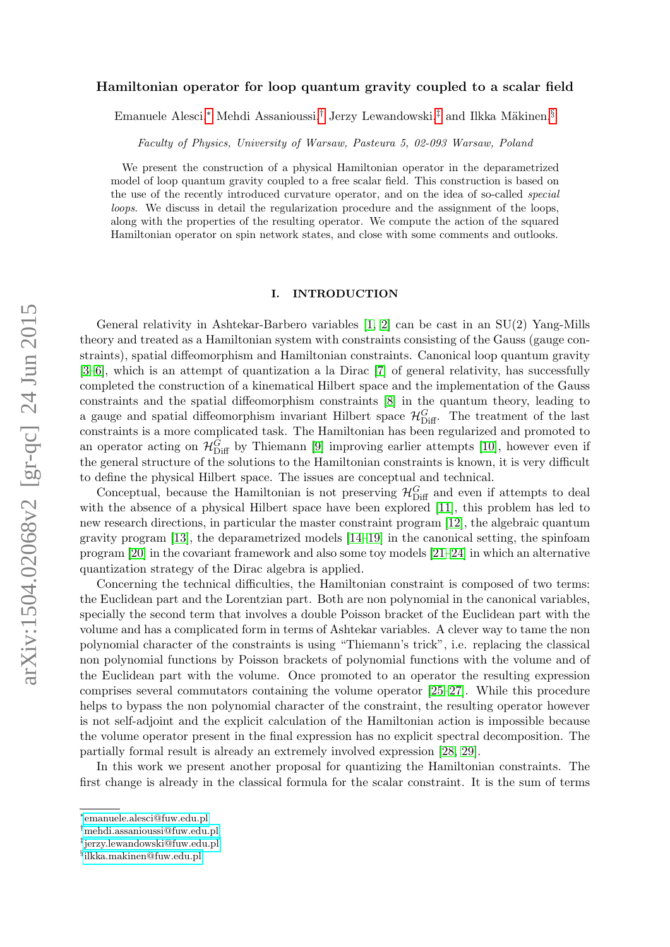# Hamiltonian operator for loop quantum gravity coupled to a scalar field

Emanuele Alesci,<sup>\*</sup> Mehdi Assanioussi,<sup>[†](#page-0-1)</sup> Jerzy Lewandowski,<sup>[‡](#page-0-2)</sup> and Ilkka Mäkinen,<sup>[§](#page-0-3)</sup>

Faculty of Physics, University of Warsaw, Pasteura 5, 02-093 Warsaw, Poland

We present the construction of a physical Hamiltonian operator in the deparametrized model of loop quantum gravity coupled to a free scalar field. This construction is based on the use of the recently introduced curvature operator, and on the idea of so-called special loops. We discuss in detail the regularization procedure and the assignment of the loops, along with the properties of the resulting operator. We compute the action of the squared Hamiltonian operator on spin network states, and close with some comments and outlooks.

### I. INTRODUCTION

General relativity in Ashtekar-Barbero variables [\[1,](#page-28-0) [2\]](#page-28-1) can be cast in an SU(2) Yang-Mills theory and treated as a Hamiltonian system with constraints consisting of the Gauss (gauge constraints), spatial diffeomorphism and Hamiltonian constraints. Canonical loop quantum gravity [\[3](#page-28-2)[–6\]](#page-28-3), which is an attempt of quantization a la Dirac [\[7\]](#page-28-4) of general relativity, has successfully completed the construction of a kinematical Hilbert space and the implementation of the Gauss constraints and the spatial diffeomorphism constraints [\[8\]](#page-28-5) in the quantum theory, leading to a gauge and spatial diffeomorphism invariant Hilbert space  $\mathcal{H}_{\text{Diff}}^G$ . The treatment of the last constraints is a more complicated task. The Hamiltonian has been regularized and promoted to an operator acting on  $\mathcal{H}_{\text{Diff}}^G$  by Thiemann [\[9\]](#page-28-6) improving earlier attempts [\[10\]](#page-28-7), however even if the general structure of the solutions to the Hamiltonian constraints is known, it is very difficult to define the physical Hilbert space. The issues are conceptual and technical.

Conceptual, because the Hamiltonian is not preserving  $\mathcal{H}_{\text{Diff}}^G$  and even if attempts to deal with the absence of a physical Hilbert space have been explored [\[11\]](#page-29-0), this problem has led to new research directions, in particular the master constraint program [\[12\]](#page-29-1), the algebraic quantum gravity program [\[13\]](#page-29-2), the deparametrized models [\[14–](#page-29-3)[19\]](#page-29-4) in the canonical setting, the spinfoam program [\[20\]](#page-29-5) in the covariant framework and also some toy models [\[21–](#page-29-6)[24\]](#page-29-7) in which an alternative quantization strategy of the Dirac algebra is applied.

Concerning the technical difficulties, the Hamiltonian constraint is composed of two terms: the Euclidean part and the Lorentzian part. Both are non polynomial in the canonical variables, specially the second term that involves a double Poisson bracket of the Euclidean part with the volume and has a complicated form in terms of Ashtekar variables. A clever way to tame the non polynomial character of the constraints is using "Thiemann's trick", i.e. replacing the classical non polynomial functions by Poisson brackets of polynomial functions with the volume and of the Euclidean part with the volume. Once promoted to an operator the resulting expression comprises several commutators containing the volume operator [\[25–](#page-29-8)[27\]](#page-29-9). While this procedure helps to bypass the non polynomial character of the constraint, the resulting operator however is not self-adjoint and the explicit calculation of the Hamiltonian action is impossible because the volume operator present in the final expression has no explicit spectral decomposition. The partially formal result is already an extremely involved expression [\[28,](#page-29-10) [29\]](#page-29-11).

In this work we present another proposal for quantizing the Hamiltonian constraints. The first change is already in the classical formula for the scalar constraint. It is the sum of terms

<span id="page-0-0"></span><sup>∗</sup> [emanuele.alesci@fuw.edu.pl](mailto:emanuele.alesci@fuw.edu.pl)

<span id="page-0-1"></span><sup>†</sup>[mehdi.assanioussi@fuw.edu.pl](mailto:mehdi.assanioussi@fuw.edu.pl)

<span id="page-0-2"></span><sup>‡</sup> [jerzy.lewandowski@fuw.edu.pl](mailto:jerzy.lewandowski@fuw.edu.pl)

<span id="page-0-3"></span><sup>§</sup> [ilkka.makinen@fuw.edu.pl](mailto:ilkka.makinen@fuw.edu.pl)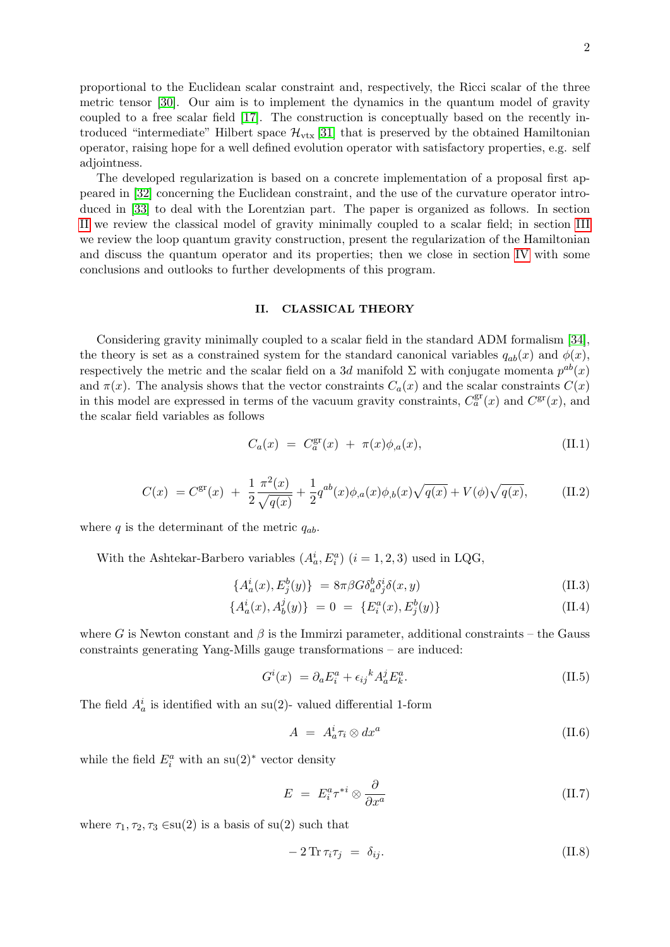proportional to the Euclidean scalar constraint and, respectively, the Ricci scalar of the three metric tensor [\[30\]](#page-29-12). Our aim is to implement the dynamics in the quantum model of gravity coupled to a free scalar field [\[17\]](#page-29-13). The construction is conceptually based on the recently introduced "intermediate" Hilbert space  $\mathcal{H}_{\text{vtx}}[31]$  $\mathcal{H}_{\text{vtx}}[31]$  that is preserved by the obtained Hamiltonian operator, raising hope for a well defined evolution operator with satisfactory properties, e.g. self adjointness.

The developed regularization is based on a concrete implementation of a proposal first appeared in [\[32\]](#page-29-15) concerning the Euclidean constraint, and the use of the curvature operator introduced in [\[33\]](#page-29-16) to deal with the Lorentzian part. The paper is organized as follows. In section [II](#page-1-0) we review the classical model of gravity minimally coupled to a scalar field; in section [III](#page-3-0) we review the loop quantum gravity construction, present the regularization of the Hamiltonian and discuss the quantum operator and its properties; then we close in section [IV](#page-23-0) with some conclusions and outlooks to further developments of this program.

#### <span id="page-1-0"></span>II. CLASSICAL THEORY

Considering gravity minimally coupled to a scalar field in the standard ADM formalism [\[34\]](#page-29-17), the theory is set as a constrained system for the standard canonical variables  $q_{ab}(x)$  and  $\phi(x)$ , respectively the metric and the scalar field on a 3d manifold  $\Sigma$  with conjugate momenta  $p^{ab}(x)$ and  $\pi(x)$ . The analysis shows that the vector constraints  $C_a(x)$  and the scalar constraints  $C(x)$ in this model are expressed in terms of the vacuum gravity constraints,  $C_a^{\text{gr}}(x)$  and  $C^{\text{gr}}(x)$ , and the scalar field variables as follows

$$
C_a(x) = C_a^{\rm gr}(x) + \pi(x)\phi_{,a}(x), \tag{II.1}
$$

<span id="page-1-1"></span>
$$
C(x) = C^{\rm gr}(x) + \frac{1}{2} \frac{\pi^2(x)}{\sqrt{q(x)}} + \frac{1}{2} q^{ab}(x) \phi_{,a}(x) \phi_{,b}(x) \sqrt{q(x)} + V(\phi) \sqrt{q(x)}, \tag{II.2}
$$

where q is the determinant of the metric  $q_{ab}$ .

With the Ashtekar-Barbero variables  $(A_a^i, E_i^a)$   $(i = 1, 2, 3)$  used in LQG,

$$
\{A^i_a(x), E^b_j(y)\} = 8\pi\beta G \delta^b_a \delta^i_j \delta(x, y) \tag{II.3}
$$

$$
\{A_a^i(x), A_b^j(y)\} = 0 = \{E_i^a(x), E_j^b(y)\}\tag{II.4}
$$

where G is Newton constant and  $\beta$  is the Immirzi parameter, additional constraints – the Gauss constraints generating Yang-Mills gauge transformations – are induced:

$$
G^{i}(x) = \partial_{a} E_{i}^{a} + \epsilon_{ij}{}^{k} A_{a}^{j} E_{k}^{a}.
$$
\n(II.5)

The field  $A_a^i$  is identified with an su(2)-valued differential 1-form

$$
A = A_a^i \tau_i \otimes dx^a \tag{II.6}
$$

while the field  $E_i^a$  with an su(2)<sup>\*</sup> vector density

$$
E = E_i^a \tau^{*i} \otimes \frac{\partial}{\partial x^a} \tag{II.7}
$$

where  $\tau_1, \tau_2, \tau_3 \in \text{su}(2)$  is a basis of su(2) such that

$$
-2\operatorname{Tr}\tau_i\tau_j = \delta_{ij}.\tag{II.8}
$$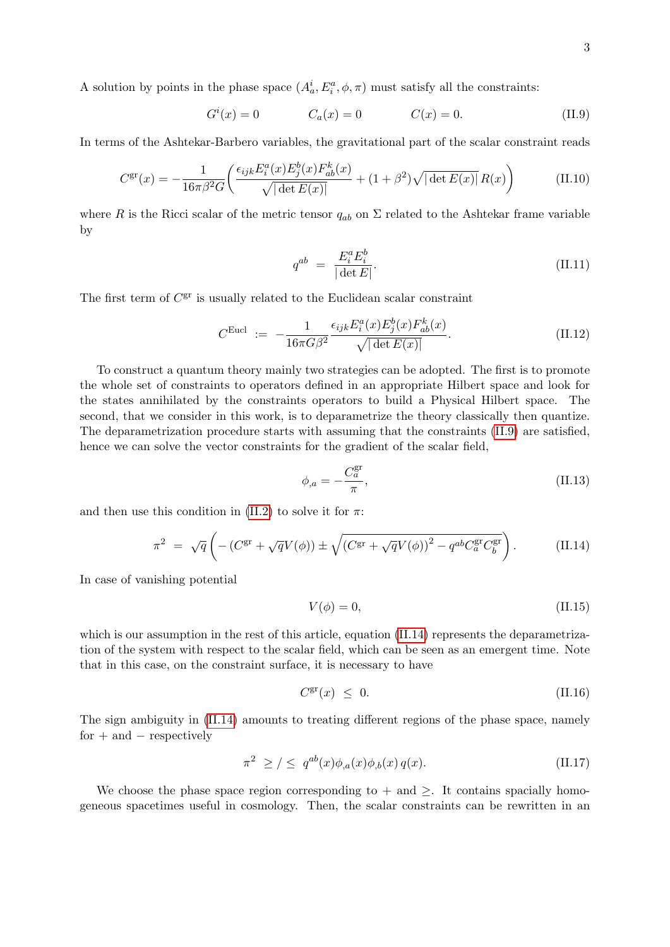A solution by points in the phase space  $(A_a^i, E_i^a, \phi, \pi)$  must satisfy all the constraints:

<span id="page-2-0"></span>
$$
G^{i}(x) = 0 \t C_{a}(x) = 0 \t C(x) = 0.
$$
 (II.9)

In terms of the Ashtekar-Barbero variables, the gravitational part of the scalar constraint reads

<span id="page-2-2"></span>
$$
C^{\rm gr}(x) = -\frac{1}{16\pi\beta^2 G} \left( \frac{\epsilon_{ijk} E_i^a(x) E_j^b(x) F_{ab}^k(x)}{\sqrt{|\det E(x)|}} + (1+\beta^2) \sqrt{|\det E(x)|} R(x) \right) \tag{II.10}
$$

where R is the Ricci scalar of the metric tensor  $q_{ab}$  on  $\Sigma$  related to the Ashtekar frame variable by

$$
q^{ab} = \frac{E_i^a E_i^b}{|\det E|}.
$$
\n(II.11)

The first term of  $C^{\text{gr}}$  is usually related to the Euclidean scalar constraint

<span id="page-2-3"></span>
$$
C^{\text{Eucl}} := -\frac{1}{16\pi G\beta^2} \frac{\epsilon_{ijk} E_i^a(x) E_j^b(x) F_{ab}^k(x)}{\sqrt{|\det E(x)|}}.
$$
 (II.12)

To construct a quantum theory mainly two strategies can be adopted. The first is to promote the whole set of constraints to operators defined in an appropriate Hilbert space and look for the states annihilated by the constraints operators to build a Physical Hilbert space. The second, that we consider in this work, is to deparametrize the theory classically then quantize. The deparametrization procedure starts with assuming that the constraints [\(II.9\)](#page-2-0) are satisfied, hence we can solve the vector constraints for the gradient of the scalar field,

$$
\phi_{,a} = -\frac{C_a^{\text{gr}}}{\pi},\tag{II.13}
$$

and then use this condition in [\(II.2\)](#page-1-1) to solve it for  $\pi$ :

<span id="page-2-1"></span>
$$
\pi^2 = \sqrt{q} \left( -\left( C^{\rm gr} + \sqrt{q} V(\phi) \right) \pm \sqrt{\left( C^{\rm gr} + \sqrt{q} V(\phi) \right)^2 - q^{ab} C^{\rm gr}_a C^{\rm gr}_b} \right). \tag{II.14}
$$

In case of vanishing potential

$$
V(\phi) = 0,\t\t(II.15)
$$

which is our assumption in the rest of this article, equation [\(II.14\)](#page-2-1) represents the deparametrization of the system with respect to the scalar field, which can be seen as an emergent time. Note that in this case, on the constraint surface, it is necessary to have

$$
C^{\rm gr}(x) \leq 0. \tag{II.16}
$$

The sign ambiguity in [\(II.14\)](#page-2-1) amounts to treating different regions of the phase space, namely  $for + and - respectively$ 

$$
\pi^2 \ge \frac{\ }{2} \le \ q^{ab}(x)\phi_{,a}(x)\phi_{,b}(x) \, q(x). \tag{II.17}
$$

We choose the phase space region corresponding to  $+$  and  $\geq$ . It contains spacially homogeneous spacetimes useful in cosmology. Then, the scalar constraints can be rewritten in an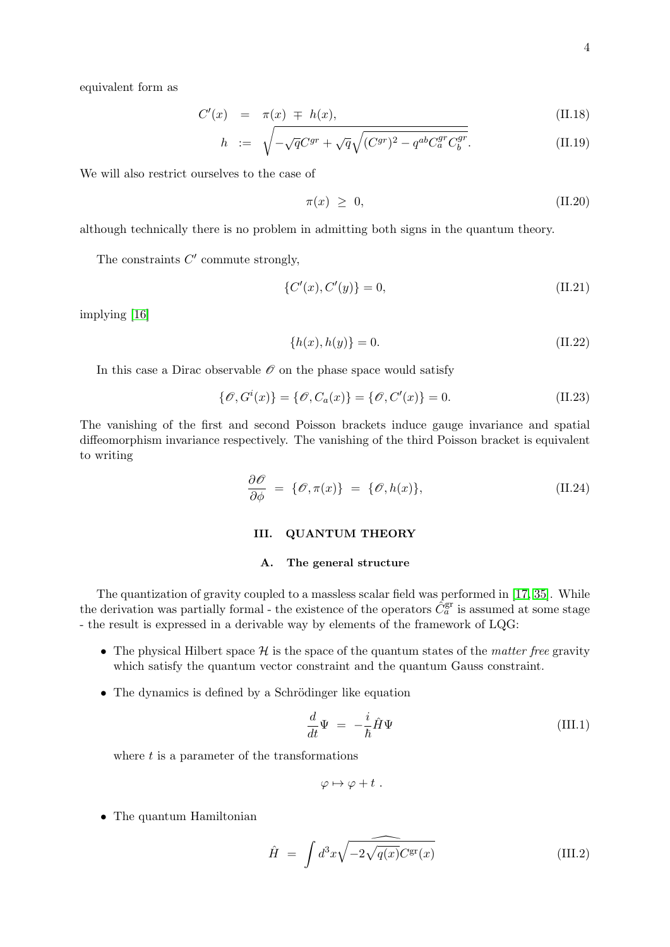equivalent form as

$$
C'(x) = \pi(x) \mp h(x), \qquad \qquad (\text{II}.18)
$$

$$
h := \sqrt{-\sqrt{q}C^{gr} + \sqrt{q}\sqrt{(C^{gr})^2 - q^{ab}C_a^{gr}C_b^{gr}}}.
$$
 (II.19)

We will also restrict ourselves to the case of

$$
\pi(x) \geq 0,\tag{II.20}
$$

although technically there is no problem in admitting both signs in the quantum theory.

The constraints  $C'$  commute strongly,

$$
\{C'(x), C'(y)\} = 0,\tag{II.21}
$$

implying [\[16\]](#page-29-18)

$$
\{h(x), h(y)\} = 0.
$$
 (II.22)

In this case a Dirac observable  $\mathcal O$  on the phase space would satisfy

$$
\{\mathcal{O}, G^i(x)\} = \{\mathcal{O}, C_a(x)\} = \{\mathcal{O}, C'(x)\} = 0.
$$
 (II.23)

The vanishing of the first and second Poisson brackets induce gauge invariance and spatial diffeomorphism invariance respectively. The vanishing of the third Poisson bracket is equivalent to writing

$$
\frac{\partial \mathcal{O}}{\partial \phi} = \{ \mathcal{O}, \pi(x) \} = \{ \mathcal{O}, h(x) \},\tag{II.24}
$$

#### <span id="page-3-0"></span>III. QUANTUM THEORY

#### A. The general structure

The quantization of gravity coupled to a massless scalar field was performed in [\[17,](#page-29-13) [35\]](#page-30-0). While the derivation was partially formal - the existence of the operators  $\tilde{C}_a^{\text{gr}}$  is assumed at some stage - the result is expressed in a derivable way by elements of the framework of LQG:

- The physical Hilbert space  $\mathcal H$  is the space of the quantum states of the *matter free* gravity which satisfy the quantum vector constraint and the quantum Gauss constraint.
- The dynamics is defined by a Schrödinger like equation

$$
\frac{d}{dt}\Psi = -\frac{i}{\hbar}\hat{H}\Psi
$$
\n(III.1)

where  $t$  is a parameter of the transformations

$$
\varphi \mapsto \varphi + t \; .
$$

• The quantum Hamiltonian

$$
\hat{H} = \int d^3x \sqrt{-2\sqrt{q(x)}} C^{\rm gr}(x) \tag{III.2}
$$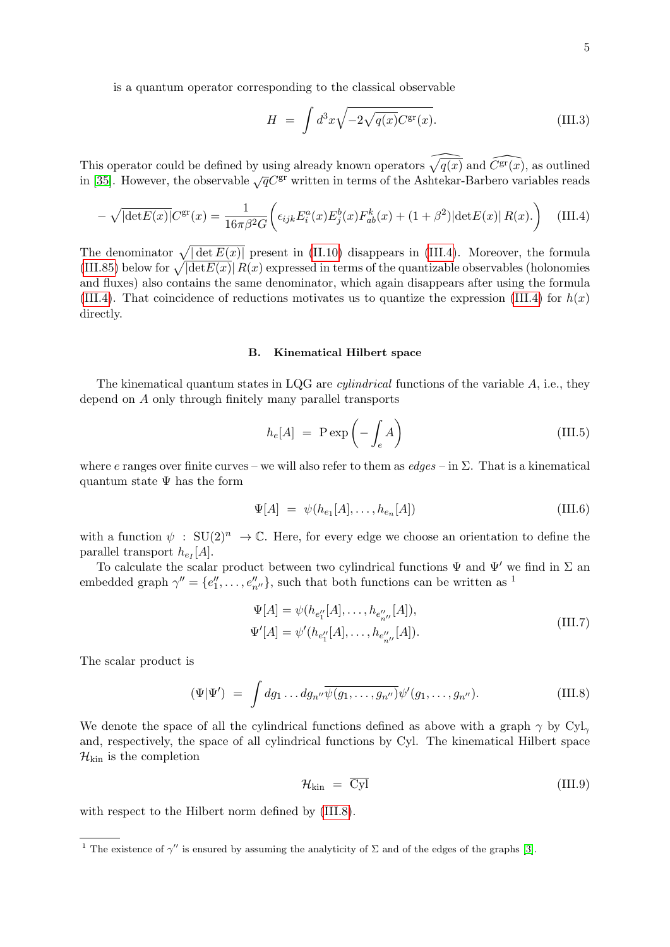is a quantum operator corresponding to the classical observable

$$
H = \int d^3x \sqrt{-2\sqrt{q(x)}} C^{\rm gr}(x). \tag{III.3}
$$

This operator could be defined by using already known operators  $\sqrt{q(x)}$  and  $\widehat{C}(\widehat{x})$ , as outlined in [\[35\]](#page-30-0). However, the observable  $\sqrt{q}C^{gr}$  written in terms of the Ashtekar-Barbero variables reads

<span id="page-4-0"></span>
$$
-\sqrt{|\text{det}E(x)|}C^{\text{gr}}(x) = \frac{1}{16\pi\beta^2 G} \left(\epsilon_{ijk}E_i^a(x)E_j^b(x)F_{ab}^k(x) + (1+\beta^2)|\text{det}E(x)|R(x).\right) \quad \text{(III.4)}
$$

The denominator  $\sqrt{|\det E(x)|}$  present in [\(II.10\)](#page-2-2) disappears in [\(III.4\)](#page-4-0). Moreover, the formula [\(III.85\)](#page-17-0) below for  $\sqrt{\left|\det E(x)\right|} R(x)$  expressed in terms of the quantizable observables (holonomies and fluxes) also contains the same denominator, which again disappears after using the formula [\(III.4\)](#page-4-0). That coincidence of reductions motivates us to quantize the expression (III.4) for  $h(x)$ directly.

#### B. Kinematical Hilbert space

The kinematical quantum states in LQG are *cylindrical* functions of the variable  $A$ , i.e., they depend on A only through finitely many parallel transports

$$
h_e[A] = \text{P} \exp\left(-\int_e A\right) \tag{III.5}
$$

where e ranges over finite curves – we will also refer to them as  $edges - in \Sigma$ . That is a kinematical quantum state  $\Psi$  has the form

<span id="page-4-2"></span>
$$
\Psi[A] = \psi(h_{e_1}[A], \dots, h_{e_n}[A]) \tag{III.6}
$$

with a function  $\psi : SU(2)^n \to \mathbb{C}$ . Here, for every edge we choose an orientation to define the parallel transport  $h_{e_I}[A]$ .

To calculate the scalar product between two cylindrical functions  $\Psi$  and  $\Psi'$  we find in  $\Sigma$  and embedded graph  $\gamma'' = \{e''_1, \ldots, e''_{n''}\}\$ , such that both functions can be written as <sup>1</sup>

$$
\Psi[A] = \psi(h_{e_1''}[A], \dots, h_{e_{n''}''}[A]),
$$
  
\n
$$
\Psi'[A] = \psi'(h_{e_1''}[A], \dots, h_{e_{n''}''}[A]).
$$
\n(III.7)

The scalar product is

<span id="page-4-1"></span>
$$
(\Psi|\Psi') = \int dg_1 \dots dg_{n''} \overline{\psi(g_1, \dots, g_{n''})} \psi'(g_1, \dots, g_{n''}).
$$
\n(III.8)

We denote the space of all the cylindrical functions defined as above with a graph  $\gamma$  by Cyl<sub>γ</sub> and, respectively, the space of all cylindrical functions by Cyl. The kinematical Hilbert space  $\mathcal{H}_{\text{kin}}$  is the completion

$$
\mathcal{H}_{\text{kin}} = \overline{\text{Cyl}} \tag{III.9}
$$

with respect to the Hilbert norm defined by [\(III.8\)](#page-4-1).

<sup>&</sup>lt;sup>1</sup> The existence of  $\gamma''$  is ensured by assuming the analyticity of  $\Sigma$  and of the edges of the graphs [\[3\]](#page-28-2).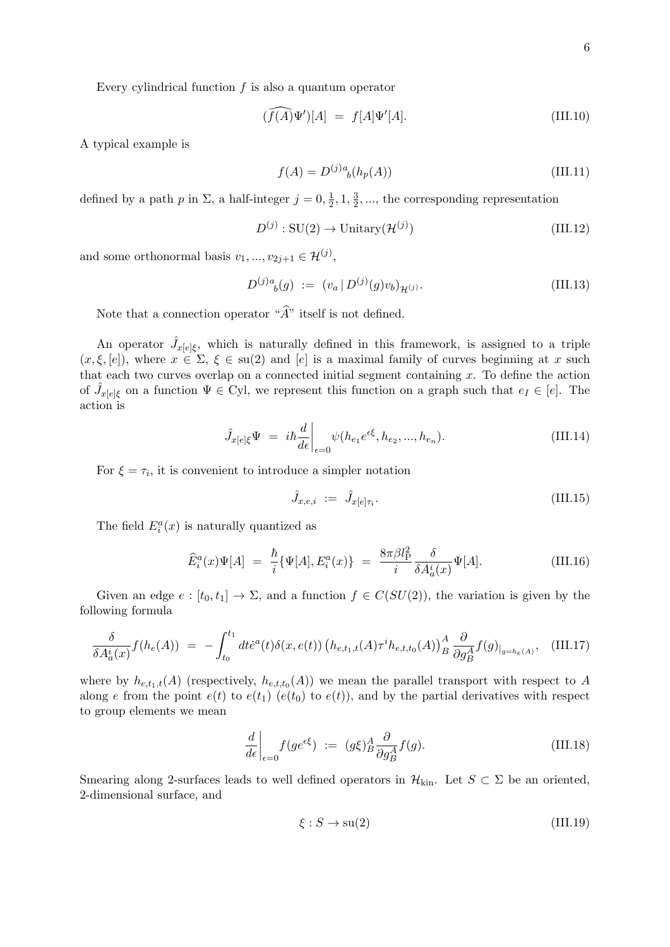Every cylindrical function  $f$  is also a quantum operator

$$
(\widehat{f(A)}\Psi')[A] = f[A]\Psi'[A]. \tag{III.10}
$$

A typical example is

$$
f(A) = D^{(j)}{}^{a}_{\ b}(h_{p}(A)) \tag{III.11}
$$

defined by a path p in  $\Sigma$ , a half-integer  $j=0, \frac{1}{2}$  $\frac{1}{2}$ , 1,  $\frac{3}{2}$  $\frac{3}{2}$ , ..., the corresponding representation

$$
D^{(j)}: \text{SU}(2) \to \text{Unitary}(\mathcal{H}^{(j)})
$$
\n(III.12)

and some orthonormal basis  $v_1, ..., v_{2j+1} \in \mathcal{H}^{(j)}$ ,

$$
D^{(j)a}_{\ b}(g) := (v_a \, | \, D^{(j)}(g)v_b)_{\mathcal{H}^{(j)}}.
$$
\n(III.13)

Note that a connection operator " $\hat{A}$ " itself is not defined.

An operator  $\hat{J}_{x[e]\xi}$ , which is naturally defined in this framework, is assigned to a triple  $(x, \xi, [e])$ , where  $x \in \Sigma$ ,  $\xi \in \text{su}(2)$  and  $[e]$  is a maximal family of curves beginning at x such that each two curves overlap on a connected initial segment containing  $x$ . To define the action of  $\hat{J}_{x[e]\xi}$  on a function  $\Psi \in Cyl$ , we represent this function on a graph such that  $e_I \in [e]$ . The action is

$$
\hat{J}_{x[e]\xi}\Psi = i\hbar \frac{d}{d\epsilon}\bigg|_{\epsilon=0} \psi(h_{e_1}e^{\epsilon\xi}, h_{e_2}, ..., h_{e_n}). \tag{III.14}
$$

For  $\xi = \tau_i$ , it is convenient to introduce a simpler notation

$$
\hat{J}_{x,e,i} := \hat{J}_{x[e]\tau_i}.
$$
\n(III.15)

The field  $E_i^a(x)$  is naturally quantized as

$$
\widehat{E}_i^a(x)\Psi[A] = \frac{\hbar}{i}\{\Psi[A], E_i^a(x)\} = \frac{8\pi\beta l_{\rm P}^2}{i} \frac{\delta}{\delta A_a^i(x)}\Psi[A]. \tag{III.16}
$$

Given an edge  $e : [t_0, t_1] \to \Sigma$ , and a function  $f \in C(SU(2))$ , the variation is given by the following formula

$$
\frac{\delta}{\delta A_a^i(x)} f(h_e(A)) = - \int_{t_0}^{t_1} dt \dot{e}^a(t) \delta(x, e(t)) \left( h_{e,t_1,t}(A) \tau^i h_{e,t,t_0}(A) \right)_B^A \frac{\partial}{\partial g_B^A} f(g)_{|g=h_e(A)}, \quad \text{(III.17)}
$$

where by  $h_{e,t_1,t}(A)$  (respectively,  $h_{e,t,t_0}(A)$ ) we mean the parallel transport with respect to A along e from the point  $e(t)$  to  $e(t_1)$  ( $e(t_0)$  to  $e(t)$ ), and by the partial derivatives with respect to group elements we mean

$$
\frac{d}{d\epsilon}\bigg|_{\epsilon=0} f(g e^{\epsilon \xi}) := (g\xi)_B^A \frac{\partial}{\partial g_B^A} f(g). \tag{III.18}
$$

Smearing along 2-surfaces leads to well defined operators in  $\mathcal{H}_{\text{kin}}$ . Let  $S \subset \Sigma$  be an oriented, 2-dimensional surface, and

$$
\xi: S \to \text{su}(2) \tag{III.19}
$$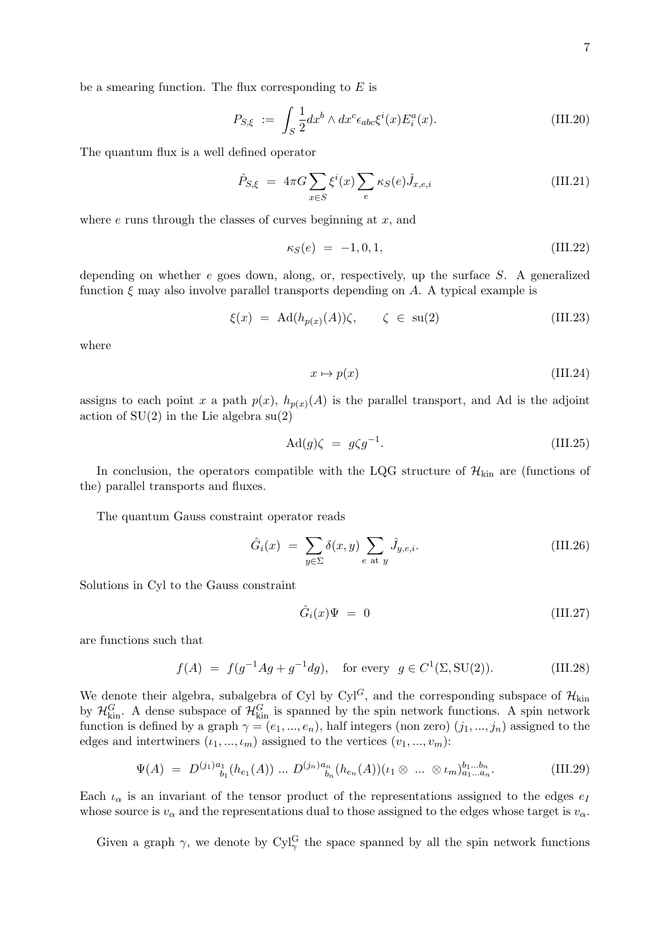be a smearing function. The flux corresponding to  $E$  is

$$
P_{S,\xi} := \int_{S} \frac{1}{2} dx^b \wedge dx^c \epsilon_{abc} \xi^i(x) E_i^a(x). \tag{III.20}
$$

The quantum flux is a well defined operator

$$
\hat{P}_{S,\xi} = 4\pi G \sum_{x \in S} \xi^i(x) \sum_e \kappa_S(e) \hat{J}_{x,e,i} \tag{III.21}
$$

where  $e$  runs through the classes of curves beginning at  $x$ , and

<span id="page-6-0"></span>
$$
\kappa_S(e) = -1, 0, 1,
$$
\n(III.22)

depending on whether  $e$  goes down, along, or, respectively, up the surface  $S$ . A generalized function  $\xi$  may also involve parallel transports depending on A. A typical example is

$$
\xi(x) = \mathrm{Ad}(h_{p(x)}(A))\zeta, \qquad \zeta \in \mathrm{su}(2) \tag{III.23}
$$

where

$$
x \mapsto p(x) \tag{III.24}
$$

assigns to each point x a path  $p(x)$ ,  $h_{p(x)}(A)$  is the parallel transport, and Ad is the adjoint action of  $SU(2)$  in the Lie algebra  $su(2)$ 

$$
Ad(g)\zeta = g\zeta g^{-1}.
$$
 (III.25)

In conclusion, the operators compatible with the LQG structure of  $\mathcal{H}_{kin}$  are (functions of the) parallel transports and fluxes.

The quantum Gauss constraint operator reads

$$
\hat{G}_i(x) = \sum_{y \in \Sigma} \delta(x, y) \sum_{e \text{ at } y} \hat{J}_{y, e, i}.
$$
 (III.26)

Solutions in Cyl to the Gauss constraint

$$
\hat{G}_i(x)\Psi = 0 \tag{III.27}
$$

are functions such that

$$
f(A) = f(g^{-1}Ag + g^{-1}dg), \text{ for every } g \in C^{1}(\Sigma, SU(2)).
$$
 (III.28)

We denote their algebra, subalgebra of Cyl by Cyl<sup>G</sup>, and the corresponding subspace of  $\mathcal{H}_{\text{kin}}$ by  $\mathcal{H}_{kin}^G$ . A dense subspace of  $\mathcal{H}_{kin}^G$  is spanned by the spin network functions. A spin network function is defined by a graph  $\gamma = (e_1, ..., e_n)$ , half integers (non zero)  $(j_1, ..., j_n)$  assigned to the edges and intertwiners  $(\iota_1, ..., \iota_m)$  assigned to the vertices  $(v_1, ..., v_m)$ :

$$
\Psi(A) = D^{(j_1)a_1}_{b_1}(h_{e_1}(A)) \dots D^{(j_n)a_n}_{b_n}(h_{e_n}(A))(t_1 \otimes \dots \otimes t_m)_{a_1 \dots a_n}^{b_1 \dots b_n}.
$$
\n(III.29)

Each  $\iota_{\alpha}$  is an invariant of the tensor product of the representations assigned to the edges  $e_I$ whose source is  $v_\alpha$  and the representations dual to those assigned to the edges whose target is  $v_\alpha$ .

Given a graph  $\gamma$ , we denote by Cyl<sup>G</sup> the space spanned by all the spin network functions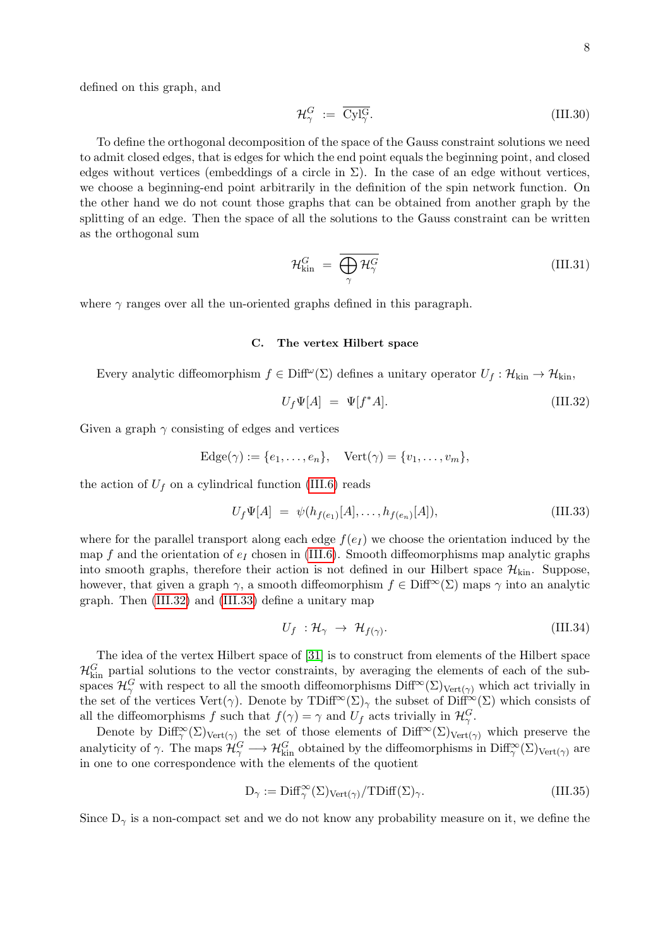defined on this graph, and

$$
\mathcal{H}_{\gamma}^G := \overline{\text{Cyl}_{\gamma}^G}.\tag{III.30}
$$

To define the orthogonal decomposition of the space of the Gauss constraint solutions we need to admit closed edges, that is edges for which the end point equals the beginning point, and closed edges without vertices (embeddings of a circle in  $\Sigma$ ). In the case of an edge without vertices, we choose a beginning-end point arbitrarily in the definition of the spin network function. On the other hand we do not count those graphs that can be obtained from another graph by the splitting of an edge. Then the space of all the solutions to the Gauss constraint can be written as the orthogonal sum

<span id="page-7-2"></span>
$$
\mathcal{H}_{\text{kin}}^G = \overline{\bigoplus_{\gamma} \mathcal{H}_{\gamma}^G} \tag{III.31}
$$

where  $\gamma$  ranges over all the un-oriented graphs defined in this paragraph.

#### C. The vertex Hilbert space

Every analytic diffeomorphism  $f \in \text{Diff}^{\omega}(\Sigma)$  defines a unitary operator  $U_f : \mathcal{H}_{\text{kin}} \to \mathcal{H}_{\text{kin}}$ ,

<span id="page-7-0"></span>
$$
U_f \Psi[A] = \Psi[f^*A]. \tag{III.32}
$$

Given a graph  $\gamma$  consisting of edges and vertices

$$
Edge(\gamma) := \{e_1, \ldots, e_n\}, \quad Vect(\gamma) = \{v_1, \ldots, v_m\},
$$

the action of  $U_f$  on a cylindrical function [\(III.6\)](#page-4-2) reads

<span id="page-7-1"></span>
$$
U_f \Psi[A] = \psi(h_{f(e_1)}[A], \dots, h_{f(e_n)}[A]), \tag{III.33}
$$

where for the parallel transport along each edge  $f(e_I)$  we choose the orientation induced by the map f and the orientation of  $e_I$  chosen in [\(III.6\)](#page-4-2). Smooth diffeomorphisms map analytic graphs into smooth graphs, therefore their action is not defined in our Hilbert space  $\mathcal{H}_{kin}$ . Suppose, however, that given a graph  $\gamma$ , a smooth diffeomorphism  $f \in \text{Diff}^{\infty}(\Sigma)$  maps  $\gamma$  into an analytic graph. Then [\(III.32\)](#page-7-0) and [\(III.33\)](#page-7-1) define a unitary map

$$
U_f : \mathcal{H}_{\gamma} \to \mathcal{H}_{f(\gamma)}.
$$
\n(III.34)

The idea of the vertex Hilbert space of [\[31\]](#page-29-14) is to construct from elements of the Hilbert space  $\mathcal{H}_{kin}^G$  partial solutions to the vector constraints, by averaging the elements of each of the subspaces  $\mathcal{H}^G_\gamma$  with respect to all the smooth diffeomorphisms  $\text{Diff}^{\infty}(\Sigma)_{\text{Vert}(\gamma)}$  which act trivially in the set of the vertices Vert( $\gamma$ ). Denote by TDiff<sup>∞</sup>(Σ)<sub> $\gamma$ </sub> the subset of Diff<sup>∞</sup>(Σ) which consists of all the diffeomorphisms f such that  $f(\gamma) = \gamma$  and  $U_f$  acts trivially in  $\mathcal{H}_{\gamma}^G$ .

Denote by  $\text{Diff}^{\infty}_{\gamma}(\Sigma)_{\text{Vert}(\gamma)}$  the set of those elements of  $\text{Diff}^{\infty}(\Sigma)_{\text{Vert}(\gamma)}$  which preserve the analyticity of  $\gamma$ . The maps  $\mathcal{H}_{\gamma}^G \longrightarrow \mathcal{H}_{\text{kin}}^G$  obtained by the diffeomorphisms in  $\text{Diff}_{\gamma}^{\infty}(\Sigma)_{\text{Vert}(\gamma)}$  are in one to one correspondence with the elements of the quotient

$$
D_{\gamma} := \text{Diff}_{\gamma}^{\infty}(\Sigma)_{\text{Vert}(\gamma)} / \text{TDiff}(\Sigma)_{\gamma}.
$$
 (III.35)

Since  $D_{\gamma}$  is a non-compact set and we do not know any probability measure on it, we define the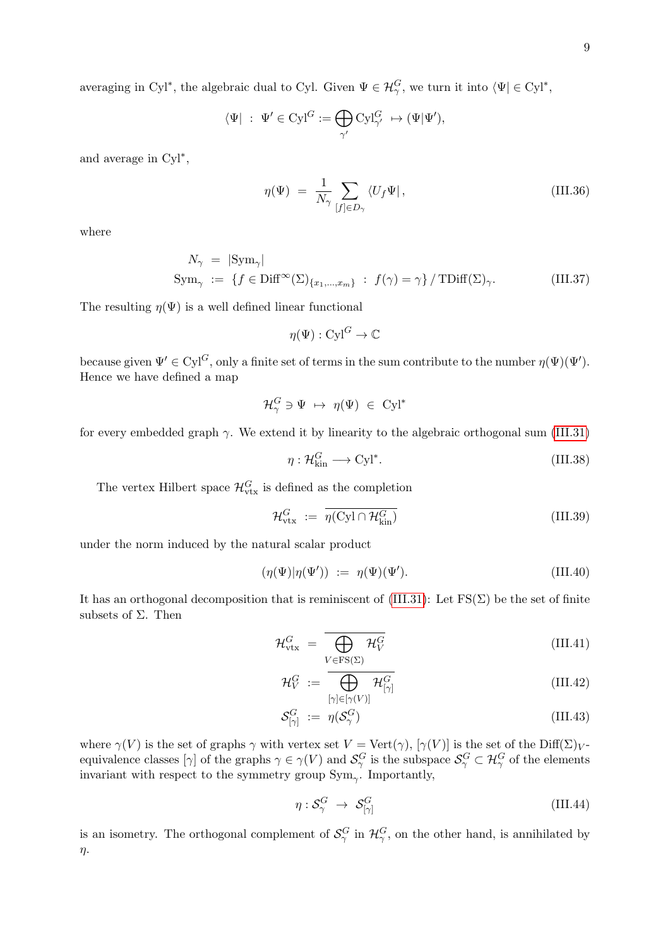9

averaging in Cyl<sup>\*</sup>, the algebraic dual to Cyl. Given  $\Psi \in \mathcal{H}_{\gamma}^G$ , we turn it into  $\langle \Psi | \in Cyl^*$ ,

$$
\langle \Psi | \, : \, \Psi' \in \text{Cyl}^G := \bigoplus_{\gamma'} \text{Cyl}^G_{\gamma'} \, \mapsto (\Psi | \Psi'),
$$

and average in Cyl<sup>∗</sup> ,

$$
\eta(\Psi) = \frac{1}{N_{\gamma}} \sum_{[f] \in D_{\gamma}} \langle U_f \Psi | , \qquad (III.36)
$$

where

$$
N_{\gamma} = |\text{Sym}_{\gamma}|
$$
  
\n
$$
\text{Sym}_{\gamma} := \{ f \in \text{Diff}^{\infty}(\Sigma)_{\{x_1, \dots, x_m\}} : f(\gamma) = \gamma \} / \text{TDiff}(\Sigma)_{\gamma}.
$$
 (III.37)

The resulting  $\eta(\Psi)$  is a well defined linear functional

$$
\eta(\Psi): \operatorname{Cyl}^G \to \mathbb{C}
$$

because given  $\Psi' \in Cyl^G$ , only a finite set of terms in the sum contribute to the number  $\eta(\Psi)(\Psi')$ . Hence we have defined a map

$$
\mathcal{H}^G_\gamma \ni \Psi \ \mapsto \ \eta(\Psi) \ \in \ \mathrm{Cyl}^*
$$

for every embedded graph  $\gamma$ . We extend it by linearity to the algebraic orthogonal sum [\(III.31\)](#page-7-2)

$$
\eta: \mathcal{H}_{\text{kin}}^G \longrightarrow \text{Cyl}^*.
$$
 (III.38)

The vertex Hilbert space  $\mathcal{H}_{\text{vtx}}^G$  is defined as the completion

$$
\mathcal{H}_{\text{vtx}}^G := \overline{\eta(\text{Cyl} \cap \mathcal{H}_{\text{kin}}^G)}
$$
(III.39)

under the norm induced by the natural scalar product

$$
(\eta(\Psi)|\eta(\Psi')) := \eta(\Psi)(\Psi'). \tag{III.40}
$$

It has an orthogonal decomposition that is reminiscent of [\(III.31\)](#page-7-2): Let  $FS(\Sigma)$  be the set of finite subsets of  $\Sigma$ . Then

$$
\mathcal{H}_{\text{vtx}}^G = \overline{\bigoplus_{V \in \text{FS}(\Sigma)} \mathcal{H}_V^G}
$$
\n(III.41)

<span id="page-8-0"></span>
$$
\mathcal{H}_V^G := \overline{\bigoplus_{[\gamma] \in [\gamma(V)]} \mathcal{H}_{[\gamma]}^G}
$$
\n(III.42)

$$
\mathcal{S}^G_{[\gamma]} := \eta(\mathcal{S}^G_\gamma) \tag{III.43}
$$

where  $\gamma(V)$  is the set of graphs  $\gamma$  with vertex set  $V = \text{Vert}(\gamma)$ ,  $[\gamma(V)]$  is the set of the Diff( $\Sigma$ )<sub>V</sub>equivalence classes  $[\gamma]$  of the graphs  $\gamma \in \gamma(V)$  and  $\mathcal{S}^G_\gamma$  is the subspace  $\mathcal{S}^G_\gamma \subset \mathcal{H}^G_\gamma$  of the elements invariant with respect to the symmetry group  $Sym_{\gamma}$ . Importantly,

$$
\eta: \mathcal{S}^G_\gamma \to \mathcal{S}^G_{[\gamma]}
$$
 (III.44)

is an isometry. The orthogonal complement of  $\mathcal{S}_{\gamma}^G$  in  $\mathcal{H}_{\gamma}^G$ , on the other hand, is annihilated by η.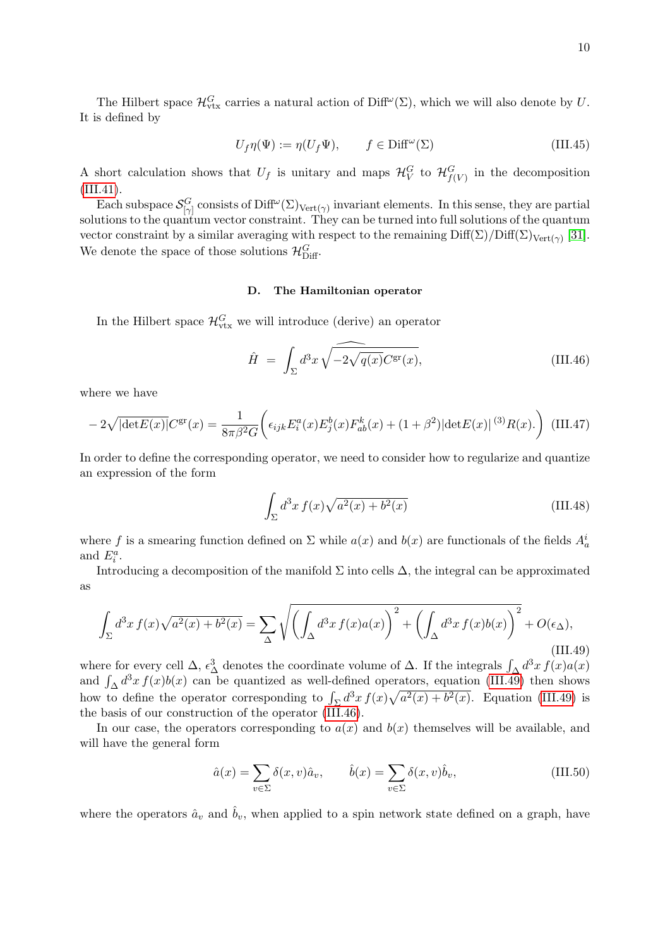The Hilbert space  $\mathcal{H}_{\text{vtx}}^G$  carries a natural action of Diff<sup> $\omega$ </sup>( $\Sigma$ ), which we will also denote by U. It is defined by

$$
U_f \eta(\Psi) := \eta(U_f \Psi), \qquad f \in \text{Diff}^{\omega}(\Sigma)
$$
 (III.45)

A short calculation shows that  $U_f$  is unitary and maps  $\mathcal{H}_V^G$  to  $\mathcal{H}_{f(V)}^G$  in the decomposition [\(III.41\)](#page-8-0).

Each subspace  $\mathcal{S}_{[\gamma]}^G$  consists of Diff<sup> $\omega$ </sup>( $\Sigma$ )<sub>Vert( $\gamma$ </sub>) invariant elements. In this sense, they are partial solutions to the quantum vector constraint. They can be turned into full solutions of the quantum vector constraint by a similar averaging with respect to the remaining  $\text{Diff}(\Sigma)/\text{Diff}(\Sigma)_{\text{Vert}(\gamma)}$  [\[31\]](#page-29-14). We denote the space of those solutions  $\mathcal{H}_{\text{Diff}}^G$ .

## D. The Hamiltonian operator

In the Hilbert space  $\mathcal{H}_{\text{vtx}}^G$  we will introduce (derive) an operator

<span id="page-9-1"></span>
$$
\hat{H} = \int_{\Sigma} d^3x \sqrt{-2\sqrt{q(x)}} C^{\rm gr}(x), \tag{III.46}
$$

where we have

$$
-2\sqrt{|\text{det}E(x)|}C^{\text{gr}}(x) = \frac{1}{8\pi\beta^2 G} \bigg(\epsilon_{ijk}E_i^a(x)E_j^b(x)F_{ab}^k(x) + (1+\beta^2)|\text{det}E(x)|^{(3)}R(x).\bigg) \tag{III.47}
$$

In order to define the corresponding operator, we need to consider how to regularize and quantize an expression of the form

$$
\int_{\Sigma} d^3x f(x)\sqrt{a^2(x) + b^2(x)}\tag{III.48}
$$

where f is a smearing function defined on  $\Sigma$  while  $a(x)$  and  $b(x)$  are functionals of the fields  $A_a^i$ and  $E_i^a$ .

Introducing a decomposition of the manifold  $\Sigma$  into cells  $\Delta$ , the integral can be approximated as

<span id="page-9-0"></span>
$$
\int_{\Sigma} d^3x f(x) \sqrt{a^2(x) + b^2(x)} = \sum_{\Delta} \sqrt{\left( \int_{\Delta} d^3x f(x) a(x) \right)^2 + \left( \int_{\Delta} d^3x f(x) b(x) \right)^2} + O(\epsilon_{\Delta}),
$$
\n(III.49)

where for every cell  $\Delta$ ,  $\epsilon_{\Delta}^3$  denotes the coordinate volume of  $\Delta$ . If the integrals  $\int_{\Delta} d^3x f(x) a(x)$ and  $\int_{\Delta} d^3x f(x)b(x)$  can be quantized as well-defined operators, equation [\(III.49\)](#page-9-0) then shows how to define the operator corresponding to  $\int_{\Sigma} d^3x f(x) \sqrt{a^2(x) + b^2(x)}$ . Equation [\(III.49\)](#page-9-0) is the basis of our construction of the operator [\(III.46\)](#page-9-1).

In our case, the operators corresponding to  $a(x)$  and  $b(x)$  themselves will be available, and will have the general form

$$
\hat{a}(x) = \sum_{v \in \Sigma} \delta(x, v)\hat{a}_v, \qquad \hat{b}(x) = \sum_{v \in \Sigma} \delta(x, v)\hat{b}_v,
$$
\n(III.50)

where the operators  $\hat{a}_v$  and  $\hat{b}_v$ , when applied to a spin network state defined on a graph, have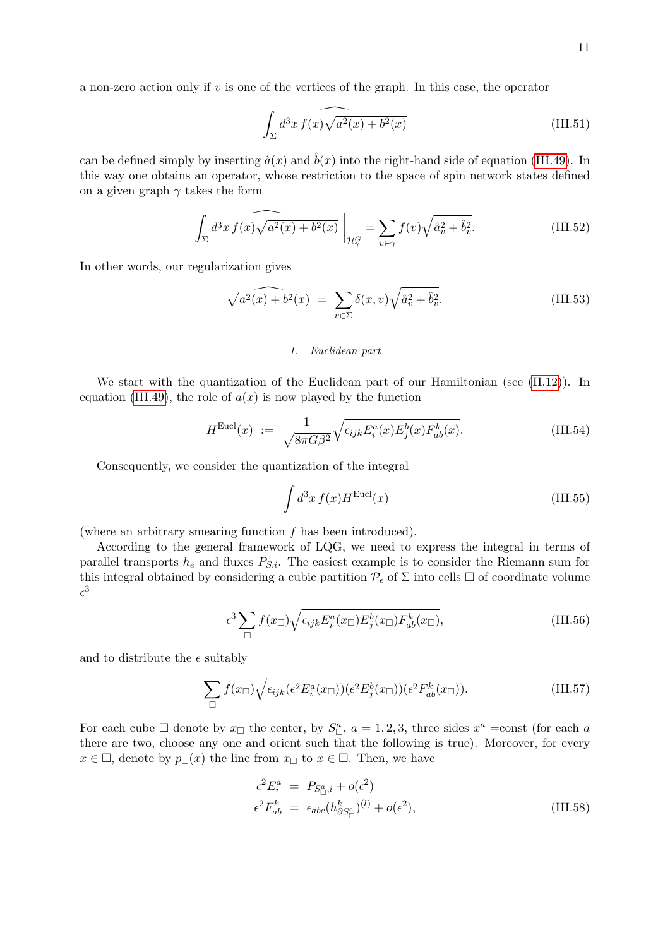a non-zero action only if v is one of the vertices of the graph. In this case, the operator

$$
\int_{\Sigma} d^3x \, f(x) \widehat{\sqrt{a^2(x) + b^2(x)}}
$$
\n(III.51)

can be defined simply by inserting  $\hat{a}(x)$  and  $\hat{b}(x)$  into the right-hand side of equation [\(III.49\)](#page-9-0). In this way one obtains an operator, whose restriction to the space of spin network states defined on a given graph  $\gamma$  takes the form

$$
\int_{\Sigma} d^3x f(x) \widehat{\sqrt{a^2(x) + b^2(x)}} \bigg|_{\mathcal{H}^G_{\gamma}} = \sum_{v \in \gamma} f(v) \widehat{\sqrt{\hat{a}_v^2 + \hat{b}_v^2}}.
$$
\n(III.52)

In other words, our regularization gives

$$
\sqrt{a^2(x) + b^2(x)} = \sum_{v \in \Sigma} \delta(x, v) \sqrt{\hat{a}_v^2 + \hat{b}_v^2}.
$$
 (III.53)

#### <span id="page-10-1"></span>1. Euclidean part

We start with the quantization of the Euclidean part of our Hamiltonian (see [\(II.12\)](#page-2-3)). In equation [\(III.49\)](#page-9-0), the role of  $a(x)$  is now played by the function

$$
H^{\text{Eucl}}(x) := \frac{1}{\sqrt{8\pi G\beta^2}} \sqrt{\epsilon_{ijk} E_i^a(x) E_j^b(x) F_{ab}^k(x)}.
$$
 (III.54)

Consequently, we consider the quantization of the integral

<span id="page-10-0"></span>
$$
\int d^3x f(x)H^{\text{Eucl}}(x) \tag{III.55}
$$

(where an arbitrary smearing function  $f$  has been introduced).

According to the general framework of LQG, we need to express the integral in terms of parallel transports  $h_e$  and fluxes  $P_{S,i}$ . The easiest example is to consider the Riemann sum for this integral obtained by considering a cubic partition  $\mathcal{P}_{\epsilon}$  of  $\Sigma$  into cells  $\square$  of coordinate volume  $\epsilon^3$ 

$$
\epsilon^3 \sum_{\Box} f(x_{\Box}) \sqrt{\epsilon_{ijk} E_i^a(x_{\Box}) E_j^b(x_{\Box}) F_{ab}^k(x_{\Box})}, \tag{III.56}
$$

and to distribute the  $\epsilon$  suitably

$$
\sum_{\Box} f(x_{\Box}) \sqrt{\epsilon_{ijk} (\epsilon^2 E_i^a(x_{\Box})) (\epsilon^2 E_j^b(x_{\Box})) (\epsilon^2 F_{ab}^k(x_{\Box}))}.
$$
 (III.57)

For each cube  $\Box$  denote by  $x_{\Box}$  the center, by  $S^a_{\Box}$ ,  $a = 1, 2, 3$ , three sides  $x^a = \text{const}$  (for each a there are two, choose any one and orient such that the following is true). Moreover, for every  $x \in \Box$ , denote by  $p_{\Box}(x)$  the line from  $x_{\Box}$  to  $x \in \Box$ . Then, we have

$$
\epsilon^2 E_i^a = P_{S_{\square}^a, i} + o(\epsilon^2)
$$
  

$$
\epsilon^2 F_{ab}^k = \epsilon_{abc} (h_{\partial S_{\square}^c}^k)^{(l)} + o(\epsilon^2),
$$
 (III.58)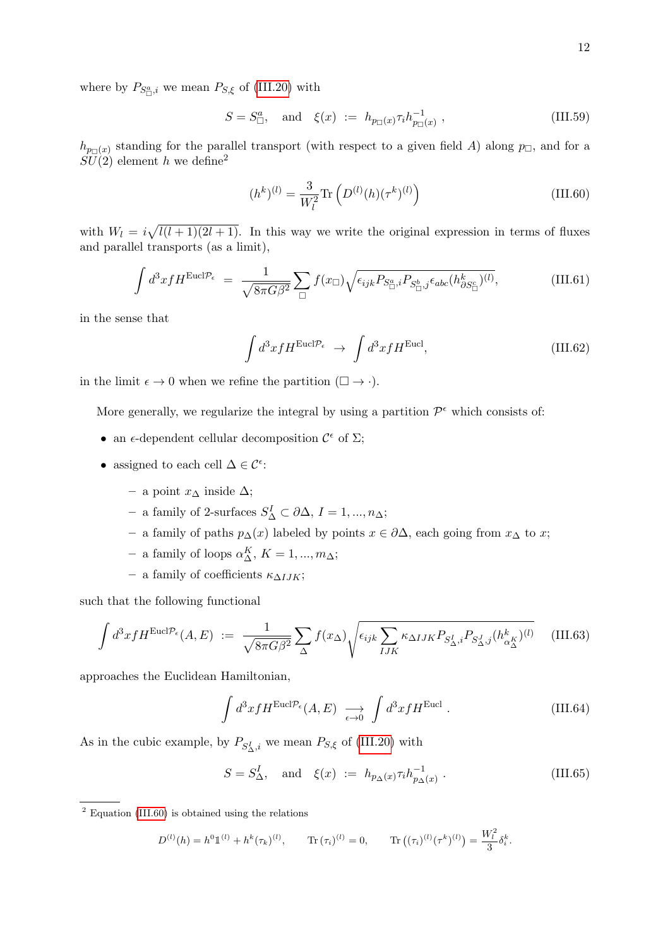$$
S = S^a_{\Box}, \text{ and } \xi(x) := h_{p_{\Box}(x)} \tau_i h_{p_{\Box}(x)}^{-1} , \qquad (III.59)
$$

 $h_{p_{\Box}(x)}$  standing for the parallel transport (with respect to a given field A) along  $p_{\Box}$ , and for a  $SU(2)$  element h we define<sup>2</sup>

<span id="page-11-0"></span>
$$
(h^k)^{(l)} = \frac{3}{W_l^2} \text{Tr}\left(D^{(l)}(h)(\tau^k)^{(l)}\right)
$$
\n(III.60)

with  $W_l = i\sqrt{l(l+1)(2l+1)}$ . In this way we write the original expression in terms of fluxes and parallel transports (as a limit),

$$
\int d^3x f H^{\text{Eucl}\mathcal{P}_{\epsilon}} = \frac{1}{\sqrt{8\pi G\beta^2}} \sum_{\Box} f(x_{\Box}) \sqrt{\epsilon_{ijk} P_{S^a_{\Box},i} P_{S^b_{\Box},j} \epsilon_{abc} (h^k_{\partial S^c_{\Box}})^{(l)}},
$$
(III.61)

in the sense that

$$
\int d^3x f H^{\text{Eucl}\mathcal{P}_{\epsilon}} \rightarrow \int d^3x f H^{\text{Eucl}}, \tag{III.62}
$$

in the limit  $\epsilon \to 0$  when we refine the partition  $(\Box \to \cdot)$ .

More generally, we regularize the integral by using a partition  $\mathcal{P}^{\epsilon}$  which consists of:

- an  $\epsilon$ -dependent cellular decomposition  $\mathcal{C}^{\epsilon}$  of  $\Sigma$ ;
- assigned to each cell  $\Delta \in \mathcal{C}^{\epsilon}$ :
	- a point x<sup>∆</sup> inside ∆;
	- $-$  a family of 2-surfaces  $S^I_Δ ⊂ ∂Δ$ ,  $I = 1, ..., n<sub>Δ</sub>$ ;
	- a family of paths p∆(x) labeled by points x ∈ ∂∆, each going from x<sup>∆</sup> to x;
	- a family of loops  $\alpha_{\Delta}^{K}$ ,  $K = 1, ..., m_{\Delta}$ ;
	- a family of coefficients κ∆IJK;

such that the following functional

$$
\int d^3x f H^{\text{Eucl}\mathcal{P}_{\epsilon}}(A,E) := \frac{1}{\sqrt{8\pi G\beta^2}} \sum_{\Delta} f(x_{\Delta}) \sqrt{\epsilon_{ijk} \sum_{IJK} \kappa_{\Delta IJK} P_{S_{\Delta}^I,i} P_{S_{\Delta}^J,j}(h_{\alpha_{\Delta}^K}^k)^{(l)}} \quad (III.63)
$$

approaches the Euclidean Hamiltonian,

$$
\int d^3x f H^{\text{Eucl}\mathcal{P}_{\epsilon}}(A, E) \xrightarrow[\epsilon \to 0]{} \int d^3x f H^{\text{Eucl}}.
$$
\n(III.64)

As in the cubic example, by  $P_{S_1^I,i}$  we mean  $P_{S,\xi}$  of [\(III.20\)](#page-6-0) with

$$
S = S^I_{\Delta}, \quad \text{and} \quad \xi(x) := h_{p_{\Delta}(x)} \tau_i h_{p_{\Delta}(x)}^{-1} . \tag{III.65}
$$

 $2$  Equation [\(III.60\)](#page-11-0) is obtained using the relations

$$
D^{(l)}(h) = h^{0} \mathbb{1}^{(l)} + h^{k} (\tau_{k})^{(l)}, \qquad \text{Tr} (\tau_{i})^{(l)} = 0, \qquad \text{Tr} ((\tau_{i})^{(l)} (\tau^{k})^{(l)}) = \frac{W_{l}^{2}}{3} \delta_{i}^{k}.
$$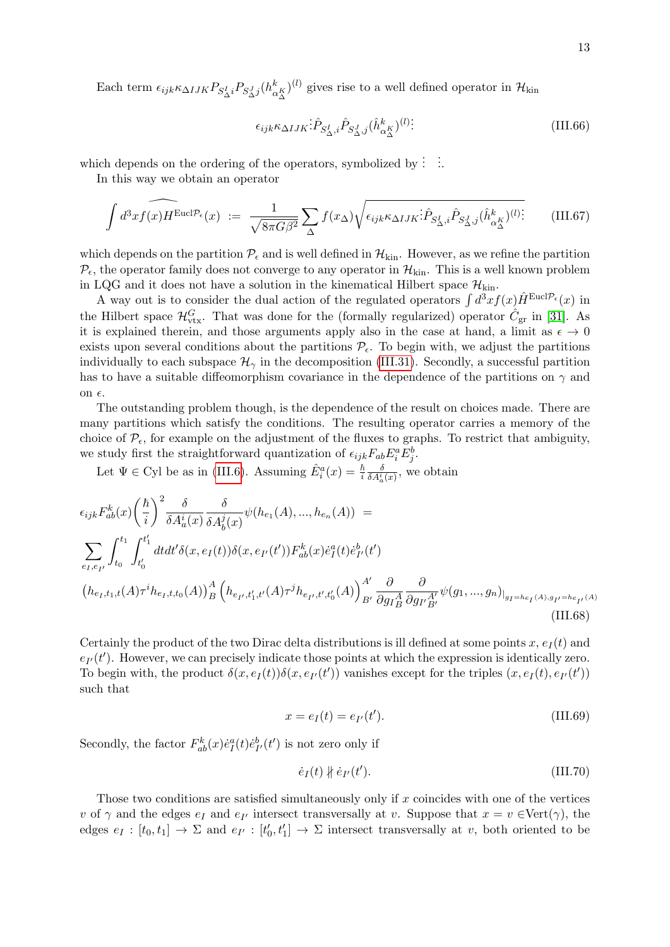Each term  $\epsilon_{ijk} \kappa_{\Delta IJK} P_{S^I_{\Delta}i} P_{S^J_{\Delta}j} (h^k_{\alpha^K_{\Delta}})^{(l)}$  gives rise to a well defined operator in  $\mathcal{H}_{\text{kin}}$ 

$$
\epsilon_{ijk} \kappa_{\Delta IJK} : \hat{P}_{S^I_{\Delta},i} \hat{P}_{S^J_{\Delta},j} (\hat{h}^k_{\alpha^K_{\Delta}})^{(l)} : \tag{III.66}
$$

which depends on the ordering of the operators, symbolized by  $\vdots$   $\vdots$ 

In this way we obtain an operator

$$
\int d^3x f(x) H^{\text{Eucl}\mathcal{P}_{\epsilon}}(x) := \frac{1}{\sqrt{8\pi G\beta^2}} \sum_{\Delta} f(x_{\Delta}) \sqrt{\epsilon_{ijk} \kappa_{\Delta IJK} \hat{P}_{S_{\Delta}^I,i} \hat{P}_{S_{\Delta}^J,j}(\hat{h}_{\alpha_{\Delta}^K}^k)^{(l)}}
$$
(III.67)

which depends on the partition  $\mathcal{P}_{\epsilon}$  and is well defined in  $\mathcal{H}_{\text{kin}}$ . However, as we refine the partition  $P_{\epsilon}$ , the operator family does not converge to any operator in  $\mathcal{H}_{\text{kin}}$ . This is a well known problem in LQG and it does not have a solution in the kinematical Hilbert space  $\mathcal{H}_{\text{kin}}$ .

A way out is to consider the dual action of the regulated operators  $\int d^3x f(x) \hat{H}^{\text{Eucl}\mathcal{P}_{\epsilon}}(x)$  in the Hilbert space  $\mathcal{H}_{\text{vtx}}^G$ . That was done for the (formally regularized) operator  $\hat{C}_{\text{gr}}$  in [\[31\]](#page-29-14). As it is explained therein, and those arguments apply also in the case at hand, a limit as  $\epsilon \to 0$ exists upon several conditions about the partitions  $\mathcal{P}_{\epsilon}$ . To begin with, we adjust the partitions individually to each subspace  $\mathcal{H}_{\gamma}$  in the decomposition [\(III.31\)](#page-7-2). Secondly, a successful partition has to have a suitable diffeomorphism covariance in the dependence of the partitions on  $\gamma$  and on  $\epsilon$ .

The outstanding problem though, is the dependence of the result on choices made. There are many partitions which satisfy the conditions. The resulting operator carries a memory of the choice of  $\mathcal{P}_{\epsilon}$ , for example on the adjustment of the fluxes to graphs. To restrict that ambiguity, we study first the straightforward quantization of  $\epsilon_{ijk}F_{ab}E_i^aE_j^b$ .

Let  $\Psi \in \text{Cyl}$  be as in [\(III.6\)](#page-4-2). Assuming  $\hat{E}^a_i(x) = \frac{\hbar}{i}$  $\frac{\delta}{\delta A_a^i(x)}$ , we obtain

$$
\epsilon_{ijk} F_{ab}^k(x) \left(\frac{\hbar}{i}\right)^2 \frac{\delta}{\delta A_a^i(x)} \frac{\delta}{\delta A_b^j(x)} \psi(h_{e_1}(A), ..., h_{e_n}(A)) =
$$
\n
$$
\sum_{e_I, e_{I'}} \int_{t_0}^{t_1} \int_{t'_0}^{t'_1} dt dt' \delta(x, e_I(t)) \delta(x, e_{I'}(t')) F_{ab}^k(x) \dot{e}_I^a(t) \dot{e}_{I'}^b(t')
$$
\n
$$
(h_{e_I, t_1, t}(A) \tau^i h_{e_I, t, t_0}(A))_B^A \left(h_{e_{I'}, t'_1, t'}(A) \tau^j h_{e_{I'}, t', t'_0}(A)\right)_{B'}^A \frac{\partial}{\partial g_I^A} \frac{\partial}{\partial g_{I'} g_{I'}} \psi(g_1, ..., g_n)_{|g_I = h_{e_I}(A), g_{I'} = h_{e_{I'}}(A)}
$$
\n(III.68)

Certainly the product of the two Dirac delta distributions is ill defined at some points  $x, e_I(t)$  and  $e_{I'}(t')$ . However, we can precisely indicate those points at which the expression is identically zero. To begin with, the product  $\delta(x, e_I(t))\delta(x, e_{I'}(t'))$  vanishes except for the triples  $(x, e_I(t), e_{I'}(t'))$ such that

$$
x = e_I(t) = e_{I'}(t').
$$
 (III.69)

Secondly, the factor  $F_{ab}^k(x)\dot{e}_I^a(t)\dot{e}_I^b(t')$  is not zero only if

$$
\dot{e}_I(t) \nparallel \dot{e}_{I'}(t'). \tag{III.70}
$$

Those two conditions are satisfied simultaneously only if  $x$  coincides with one of the vertices v of  $\gamma$  and the edges  $e_I$  and  $e_{I'}$  intersect transversally at v. Suppose that  $x = v \in \text{Vert}(\gamma)$ , the edges  $e_I : [t_0, t_1] \to \Sigma$  and  $e_{I'} : [t'_0, t'_1] \to \Sigma$  intersect transversally at v, both oriented to be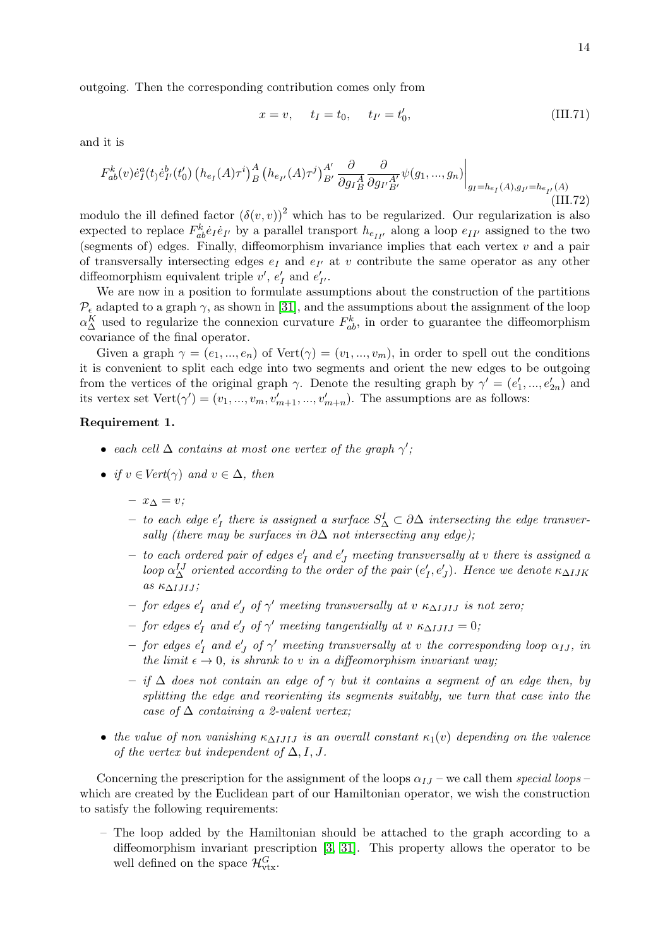14

outgoing. Then the corresponding contribution comes only from

$$
x = v, \t t_I = t_0, \t t_{I'} = t'_0,
$$
\t(III.71)

and it is

$$
F_{ab}^{k}(v)\dot{e}_{I}^{a}(t)\dot{e}_{I'}^{b}(t'_{0})\left(h_{e_{I}}(A)\tau^{i}\right)_{B}^{A}\left(h_{e_{I'}}(A)\tau^{j}\right)_{B'}^{A'}\frac{\partial}{\partial g_{I}^{A}}\frac{\partial}{\partial g_{I'}^{A'}}\psi(g_{1},...,g_{n})\Big|_{g_{I}=h_{e_{I}}(A),g_{I'}=h_{e_{I'}}(A)}\tag{III.72}
$$

modulo the ill defined factor  $(\delta(v, v))^2$  which has to be regularized. Our regularization is also expected to replace  $F_{ab}^k \dot{e}_I \dot{e}_{I'}$  by a parallel transport  $h_{e_{II'}}$  along a loop  $e_{II'}$  assigned to the two (segments of) edges. Finally, diffeomorphism invariance implies that each vertex  $v$  and a pair of transversally intersecting edges  $e_I$  and  $e_{I'}$  at v contribute the same operator as any other diffeomorphism equivalent triple  $v'$ ,  $e'_{I}$  and  $e'_{I'}$ .

We are now in a position to formulate assumptions about the construction of the partitions  $\mathcal{P}_{\epsilon}$  adapted to a graph  $\gamma$ , as shown in [\[31\]](#page-29-14), and the assumptions about the assignment of the loop  $\alpha_{\Delta}^{K}$  used to regularize the connexion curvature  $F_{ab}^{k}$ , in order to guarantee the diffeomorphism covariance of the final operator.

Given a graph  $\gamma = (e_1, ..., e_n)$  of  $Vert(\gamma) = (v_1, ..., v_m)$ , in order to spell out the conditions it is convenient to split each edge into two segments and orient the new edges to be outgoing from the vertices of the original graph  $\gamma$ . Denote the resulting graph by  $\gamma' = (e'_1, ..., e'_{2n})$  and its vertex set  $Vert(\gamma') = (v_1, ..., v_m, v'_{m+1}, ..., v'_{m+n})$ . The assumptions are as follows:

## <span id="page-13-0"></span>Requirement 1.

- each cell  $\Delta$  contains at most one vertex of the graph  $\gamma'$ ;
- if  $v \in Vert(\gamma)$  and  $v \in \Delta$ , then
	- x<sup>∆</sup> = v;
	- − to each edge  $e'_I$  there is assigned a surface  $S^I_\Delta \subset \partial \Delta$  intersecting the edge transversally (there may be surfaces in  $\partial \Delta$  not intersecting any edge);
	- $-$  to each ordered pair of edges  $e'_I$  and  $e'_J$  meeting transversally at v there is assigned a loop  $\alpha_{\Delta}^{IJ}$  oriented according to the order of the pair  $(e'_I, e'_J)$ . Hence we denote  $\kappa_{\Delta IJK}$ as  $\kappa_{\Delta I J I J}$ ;
	- $-$  for edges  $e'_I$  and  $e'_J$  of  $\gamma'$  meeting transversally at v  $\kappa_{\Delta I J I J}$  is not zero;
	- $-$  for edges  $e'_I$  and  $e'_J$  of  $\gamma'$  meeting tangentially at v  $\kappa_{\Delta IJIJ}=0$ ;
	- $-$  for edges  $e'_I$  and  $e'_J$  of  $\gamma'$  meeting transversally at v the corresponding loop  $\alpha_{IJ}$ , in the limit  $\epsilon \to 0$ , is shrank to v in a diffeomorphism invariant way.
	- $-$  if  $\Delta$  does not contain an edge of  $\gamma$  but it contains a segment of an edge then, by splitting the edge and reorienting its segments suitably, we turn that case into the case of  $\Delta$  containing a 2-valent vertex;
- the value of non vanishing  $\kappa_{\Delta IJIJ}$  is an overall constant  $\kappa_1(v)$  depending on the valence of the vertex but independent of  $\Delta, I, J$ .

Concerning the prescription for the assignment of the loops  $\alpha_{IJ}$  – we call them special loops – which are created by the Euclidean part of our Hamiltonian operator, we wish the construction to satisfy the following requirements:

– The loop added by the Hamiltonian should be attached to the graph according to a diffeomorphism invariant prescription [\[3,](#page-28-2) [31\]](#page-29-14). This property allows the operator to be well defined on the space  $\mathcal{H}_{\text{vtx}}^G$ .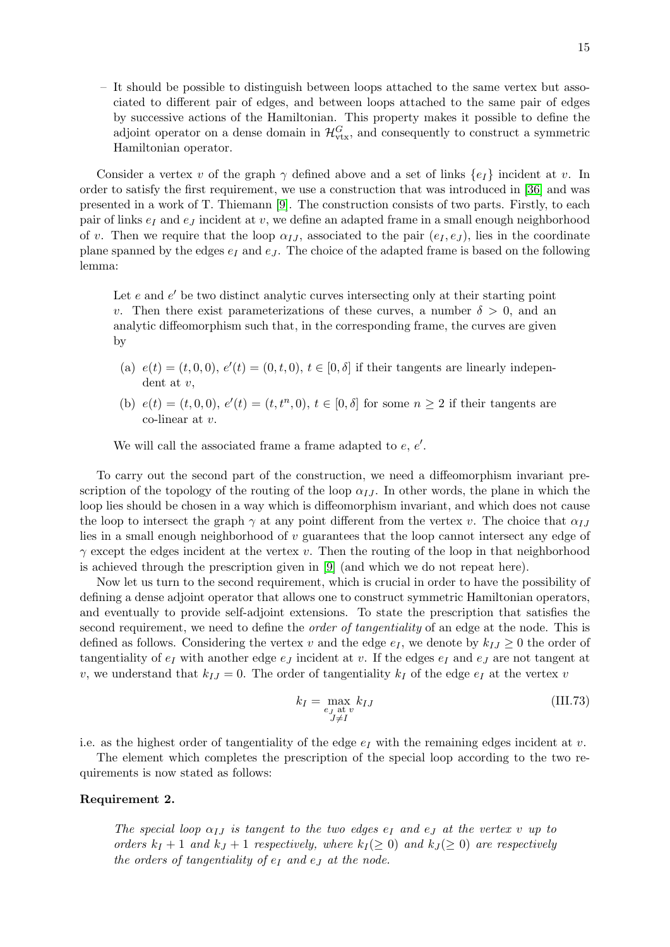– It should be possible to distinguish between loops attached to the same vertex but associated to different pair of edges, and between loops attached to the same pair of edges by successive actions of the Hamiltonian. This property makes it possible to define the adjoint operator on a dense domain in  $\mathcal{H}_{\text{vtx}}^G$ , and consequently to construct a symmetric Hamiltonian operator.

Consider a vertex v of the graph  $\gamma$  defined above and a set of links  $\{e_I\}$  incident at v. In order to satisfy the first requirement, we use a construction that was introduced in [\[36\]](#page-30-1) and was presented in a work of T. Thiemann [\[9\]](#page-28-6). The construction consists of two parts. Firstly, to each pair of links  $e_I$  and  $e_J$  incident at v, we define an adapted frame in a small enough neighborhood of v. Then we require that the loop  $\alpha_{IJ}$ , associated to the pair  $(e_I, e_J)$ , lies in the coordinate plane spanned by the edges  $e_I$  and  $e_J$ . The choice of the adapted frame is based on the following lemma:

Let  $e$  and  $e'$  be two distinct analytic curves intersecting only at their starting point v. Then there exist parameterizations of these curves, a number  $\delta > 0$ , and an analytic diffeomorphism such that, in the corresponding frame, the curves are given by

- (a)  $e(t) = (t, 0, 0), e'(t) = (0, t, 0), t \in [0, \delta]$  if their tangents are linearly independent at v,
- (b)  $e(t) = (t, 0, 0), e'(t) = (t, t^n, 0), t \in [0, \delta]$  for some  $n \ge 2$  if their tangents are co-linear at v.

We will call the associated frame a frame adapted to  $e, e'.$ 

To carry out the second part of the construction, we need a diffeomorphism invariant prescription of the topology of the routing of the loop  $\alpha_{IJ}$ . In other words, the plane in which the loop lies should be chosen in a way which is diffeomorphism invariant, and which does not cause the loop to intersect the graph  $\gamma$  at any point different from the vertex v. The choice that  $\alpha_{IJ}$ lies in a small enough neighborhood of v guarantees that the loop cannot intersect any edge of  $\gamma$  except the edges incident at the vertex v. Then the routing of the loop in that neighborhood is achieved through the prescription given in [\[9\]](#page-28-6) (and which we do not repeat here).

Now let us turn to the second requirement, which is crucial in order to have the possibility of defining a dense adjoint operator that allows one to construct symmetric Hamiltonian operators, and eventually to provide self-adjoint extensions. To state the prescription that satisfies the second requirement, we need to define the *order of tangentiality* of an edge at the node. This is defined as follows. Considering the vertex v and the edge  $e_I$ , we denote by  $k_{IJ} \geq 0$  the order of tangentiality of  $e_I$  with another edge  $e_J$  incident at v. If the edges  $e_I$  and  $e_J$  are not tangent at v, we understand that  $k_{IJ} = 0$ . The order of tangentiality  $k_I$  of the edge  $e_I$  at the vertex v

$$
k_I = \max_{\substack{e_J \text{ at } v \\ J \neq I}} k_{IJ} \tag{III.73}
$$

i.e. as the highest order of tangentiality of the edge  $e_I$  with the remaining edges incident at v.

The element which completes the prescription of the special loop according to the two requirements is now stated as follows:

#### <span id="page-14-0"></span>Requirement 2.

The special loop  $\alpha_{IJ}$  is tangent to the two edges  $e_I$  and  $e_J$  at the vertex v up to orders  $k_I + 1$  and  $k_J + 1$  respectively, where  $k_I \geq 0$  and  $k_J \geq 0$  are respectively the orders of tangentiality of  $e_I$  and  $e_J$  at the node.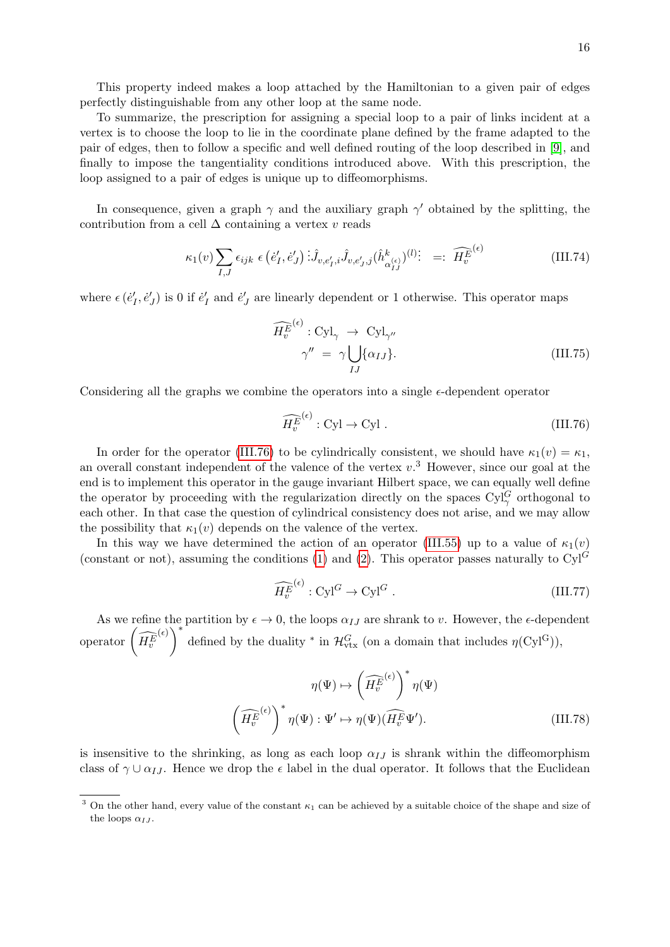This property indeed makes a loop attached by the Hamiltonian to a given pair of edges perfectly distinguishable from any other loop at the same node.

To summarize, the prescription for assigning a special loop to a pair of links incident at a vertex is to choose the loop to lie in the coordinate plane defined by the frame adapted to the pair of edges, then to follow a specific and well defined routing of the loop described in [\[9\]](#page-28-6), and finally to impose the tangentiality conditions introduced above. With this prescription, the loop assigned to a pair of edges is unique up to diffeomorphisms.

In consequence, given a graph  $\gamma$  and the auxiliary graph  $\gamma'$  obtained by the splitting, the contribution from a cell  $\Delta$  containing a vertex v reads

$$
\kappa_1(v) \sum_{I,J} \epsilon_{ijk} \epsilon \left( \dot{e}'_I, \dot{e}'_J \right) \dot{\mathbf{I}}_{v, e'_I, i} \hat{J}_{v, e'_J, j} (\hat{h}_{\alpha_{IJ}}^k)^{(l)} \mathbf{:} \quad =: \quad \widehat{H_v^{E^{(\epsilon)}}} \tag{III.74}
$$

where  $\epsilon(\dot{e}'_I, \dot{e}'_J)$  is 0 if  $\dot{e}'_I$  and  $\dot{e}'_J$  are linearly dependent or 1 otherwise. This operator maps

$$
\widehat{H_v^{E}}^{(\epsilon)} : \text{Cyl}_{\gamma} \to \text{Cyl}_{\gamma''}
$$
\n
$$
\gamma'' = \gamma \bigcup_{IJ} \{\alpha_{IJ}\}.
$$
\n(III.75)

Considering all the graphs we combine the operators into a single  $\epsilon$ -dependent operator

<span id="page-15-0"></span>
$$
\widehat{H_v^{E}}^{(\epsilon)} : \text{Cyl} \to \text{Cyl} \ . \tag{III.76}
$$

In order for the operator [\(III.76\)](#page-15-0) to be cylindrically consistent, we should have  $\kappa_1(v) = \kappa_1$ , an overall constant independent of the valence of the vertex  $v<sup>3</sup>$ . However, since our goal at the end is to implement this operator in the gauge invariant Hilbert space, we can equally well define the operator by proceeding with the regularization directly on the spaces  $\text{Cyl}^G_\gamma$  orthogonal to each other. In that case the question of cylindrical consistency does not arise, and we may allow the possibility that  $\kappa_1(v)$  depends on the valence of the vertex.

In this way we have determined the action of an operator [\(III.55\)](#page-10-0) up to a value of  $\kappa_1(v)$ (constant or not), assuming the conditions [\(1\)](#page-13-0) and [\(2\)](#page-14-0). This operator passes naturally to  $\text{Cyl}^G$ 

<span id="page-15-1"></span>
$$
\widehat{H_v^{E}}^{(\epsilon)} : \text{Cyl}^G \to \text{Cyl}^G \ . \tag{III.77}
$$

As we refine the partition by  $\epsilon \to 0$ , the loops  $\alpha_{IJ}$  are shrank to v. However, the  $\epsilon$ -dependent operator  $\left(\widehat{H_v^E}\right)$ (e)  $\bigg)^*$  defined by the duality  $*$  in  $\mathcal{H}_{\text{vtx}}^G$  (on a domain that includes  $\eta(\text{Cyl}^G)$ ),

$$
\eta(\Psi) \mapsto \left(\widehat{H_v^{E}}^{(\epsilon)}\right)^* \eta(\Psi)
$$

$$
\left(\widehat{H_v^{E}}^{(\epsilon)}\right)^* \eta(\Psi) : \Psi' \mapsto \eta(\Psi)(\widehat{H_v^{E}}\Psi').
$$
(III.78)

is insensitive to the shrinking, as long as each loop  $\alpha_{IJ}$  is shrank within the diffeomorphism class of  $\gamma \cup \alpha_{IJ}$ . Hence we drop the  $\epsilon$  label in the dual operator. It follows that the Euclidean

<sup>&</sup>lt;sup>3</sup> On the other hand, every value of the constant  $\kappa_1$  can be achieved by a suitable choice of the shape and size of the loops  $\alpha_{IJ}$ .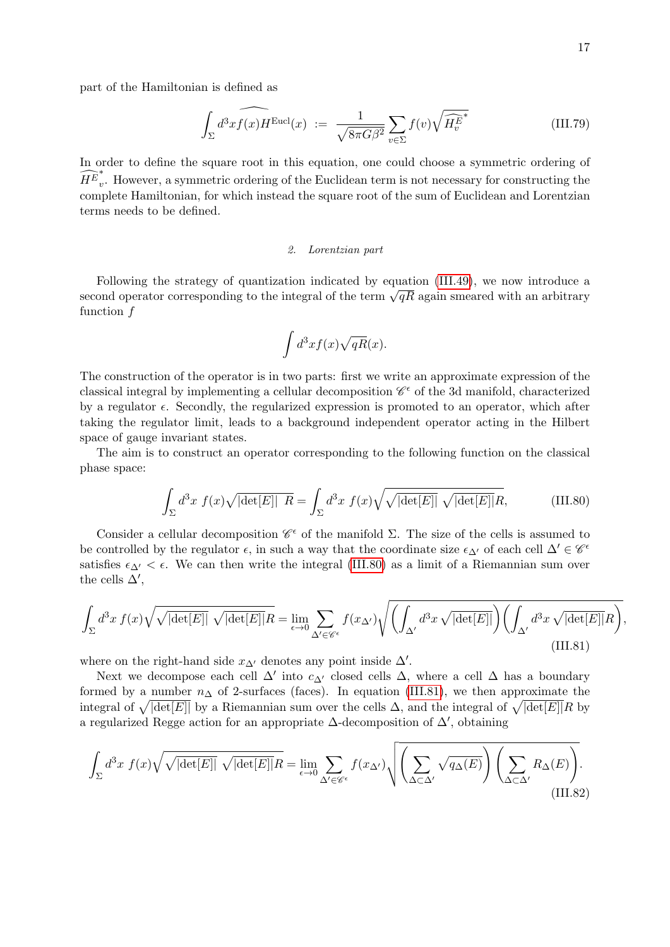part of the Hamiltonian is defined as

$$
\int_{\Sigma} d^3x \widehat{f(x)H^{\text{Eucl}}(x)} := \frac{1}{\sqrt{8\pi G\beta^2}} \sum_{v \in \Sigma} f(v) \sqrt{\widehat{H_v^{E}}}^*
$$
(III.79)

In order to define the square root in this equation, one could choose a symmetric ordering of  $\widehat{H^E}^*_v$ v . However, a symmetric ordering of the Euclidean term is not necessary for constructing the complete Hamiltonian, for which instead the square root of the sum of Euclidean and Lorentzian terms needs to be defined.

#### 2. Lorentzian part

Following the strategy of quantization indicated by equation [\(III.49\)](#page-9-0), we now introduce a Following the strategy of quantization indicated by equation  $(11.49)$ , we now introduce a second operator corresponding to the integral of the term  $\sqrt{qR}$  again smeared with an arbitrary function  $f$ 

<span id="page-16-0"></span>
$$
\int d^3x f(x)\sqrt{qR}(x).
$$

The construction of the operator is in two parts: first we write an approximate expression of the classical integral by implementing a cellular decomposition  $\mathscr{C}^{\epsilon}$  of the 3d manifold, characterized by a regulator  $\epsilon$ . Secondly, the regularized expression is promoted to an operator, which after taking the regulator limit, leads to a background independent operator acting in the Hilbert space of gauge invariant states.

The aim is to construct an operator corresponding to the following function on the classical phase space:

$$
\int_{\Sigma} d^3x \ f(x) \sqrt{|\det[E]|} \ R = \int_{\Sigma} d^3x \ f(x) \sqrt{\sqrt{|\det[E]|}} \ \sqrt{|\det[E]|} R, \tag{III.80}
$$

Consider a cellular decomposition  $\mathscr{C}^{\epsilon}$  of the manifold  $\Sigma$ . The size of the cells is assumed to be controlled by the regulator  $\epsilon$ , in such a way that the coordinate size  $\epsilon_{\Delta'}$  of each cell  $\Delta' \in \mathscr{C}^{\epsilon}$ satisfies  $\epsilon_{\Delta'} < \epsilon$ . We can then write the integral [\(III.80\)](#page-16-0) as a limit of a Riemannian sum over the cells  $\Delta'$ ,

<span id="page-16-1"></span>
$$
\int_{\Sigma} d^3x \, f(x) \sqrt{\sqrt{|\det[E]|}} \, \sqrt{|\det[E]|} R = \lim_{\epsilon \to 0} \sum_{\Delta' \in \mathscr{C}^{\epsilon}} f(x_{\Delta'}) \sqrt{\left(\int_{\Delta'} d^3x \sqrt{|\det[E]|}\right) \left(\int_{\Delta'} d^3x \sqrt{|\det[E]|} R\right)},
$$
\n(III.81)

where on the right-hand side  $x_{\Delta}$  denotes any point inside  $\Delta'$ .

Next we decompose each cell  $\Delta'$  into  $c_{\Delta'}$  closed cells  $\Delta$ , where a cell  $\Delta$  has a boundary formed by a number  $n_{\Delta}$  of 2-surfaces (faces). In equation [\(III.81\)](#page-16-1), we then approximate the integral of  $\sqrt{|\det[E]|}$  by a Riemannian sum over the cells  $\Delta$ , and the integral of  $\sqrt{|\det[E]|}R$  by a regularized Regge action for an appropriate  $\Delta$ -decomposition of  $\Delta'$ , obtaining

<span id="page-16-2"></span>
$$
\int_{\Sigma} d^3x \ f(x) \sqrt{\sqrt{|\det[E]|}} \ \sqrt{|\det[E]|} R = \lim_{\epsilon \to 0} \sum_{\Delta' \in \mathscr{C}^{\epsilon}} f(x_{\Delta'}) \sqrt{\left(\sum_{\Delta \subset \Delta'} \sqrt{q_{\Delta}(E)}\right) \left(\sum_{\Delta \subset \Delta'} R_{\Delta}(E)\right)}.
$$
\n(III.82)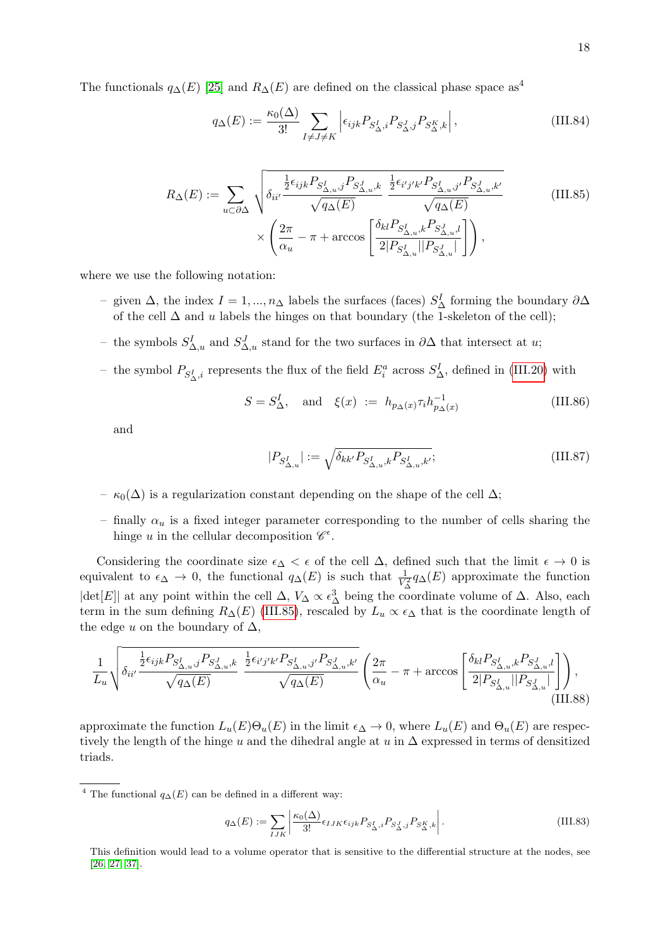The functionals  $q_{\Delta}(E)$  [\[25\]](#page-29-8) and  $R_{\Delta}(E)$  are defined on the classical phase space as<sup>4</sup>

<span id="page-17-0"></span>
$$
q_{\Delta}(E) := \frac{\kappa_0(\Delta)}{3!} \sum_{I \neq J \neq K} \left| \epsilon_{ijk} P_{S^I_{\Delta},i} P_{S^J_{\Delta},j} P_{S^K_{\Delta},k} \right|, \tag{III.84}
$$

$$
R_{\Delta}(E) := \sum_{u \subset \partial \Delta} \sqrt{\delta_{ii'} \frac{\frac{1}{2} \epsilon_{ijk} P_{S_{\Delta,u}^I,j} P_{S_{\Delta,u}^J,k}}{\sqrt{q_{\Delta}(E)}} \frac{\frac{1}{2} \epsilon_{i'j'k'} P_{S_{\Delta,u}^I,j'} P_{S_{\Delta,u}^J,k'}}{\sqrt{q_{\Delta}(E)}}}
$$
(III.85)  

$$
\times \left( \frac{2\pi}{\alpha_u} - \pi + \arccos\left[ \frac{\delta_{kl} P_{S_{\Delta,u}^I,k} P_{S_{\Delta,u}^J,l}}{2|P_{S_{\Delta,u}^I}||P_{S_{\Delta,u}^J}|} \right] \right),
$$

where we use the following notation:

- given Δ, the index  $I = 1, ..., n_Δ$  labels the surfaces (faces)  $S^I_Δ$  forming the boundary  $∂Δ$ of the cell  $\Delta$  and u labels the hinges on that boundary (the 1-skeleton of the cell);
- the symbols  $S^I_{\Delta,u}$  and  $S^J_{\Delta,u}$  stand for the two surfaces in ∂∆ that intersect at u;
- − the symbol  $P_{S^I_{\Delta},i}$  represents the flux of the field  $E^a_i$  across  $S^I_{\Delta}$ , defined in [\(III.20\)](#page-6-0) with

$$
S = S^I_{\Delta}, \quad \text{and} \quad \xi(x) := h_{p_{\Delta}(x)} \tau_i h_{p_{\Delta}(x)}^{-1}
$$
(III.86)

and

$$
|P_{S_{\Delta,u}^I}| := \sqrt{\delta_{kk'} P_{S_{\Delta,u}^I,k} P_{S_{\Delta,u}^I,k'}};
$$
\n(III.87)

- $\kappa_0(\Delta)$  is a regularization constant depending on the shape of the cell  $\Delta$ ;
- finally  $\alpha_u$  is a fixed integer parameter corresponding to the number of cells sharing the hinge u in the cellular decomposition  $\mathscr{C}^{\epsilon}$ .

Considering the coordinate size  $\epsilon_{\Delta} < \epsilon$  of the cell  $\Delta$ , defined such that the limit  $\epsilon \to 0$  is equivalent to  $\epsilon_{\Delta} \to 0$ , the functional  $q_{\Delta}(E)$  is such that  $\frac{1}{V_{\Delta}^2} q_{\Delta}(E)$  approximate the function  $|\text{det}[E]|$  at any point within the cell  $\Delta$ ,  $V_{\Delta} \propto \epsilon_{\Delta}^3$  being the coordinate volume of  $\Delta$ . Also, each term in the sum defining  $R_{\Delta}(E)$  [\(III.85\)](#page-17-0), rescaled by  $L_u \propto \epsilon_{\Delta}$  that is the coordinate length of the edge u on the boundary of  $\Delta$ ,

$$
\frac{1}{L_u}\sqrt{\delta_{ii'}\frac{\frac{1}{2}\epsilon_{ijk}P_{S_{\Delta,u}^I,j}P_{S_{\Delta,u}^J,k}}{\sqrt{q_{\Delta}(E)}}\frac{\frac{1}{2}\epsilon_{i'j'k'}P_{S_{\Delta,u}^I,j'}P_{S_{\Delta,u}^J,k'}}{\sqrt{q_{\Delta}(E)}}\left(\frac{2\pi}{\alpha_u}-\pi+\arccos\left[\frac{\delta_{kl}P_{S_{\Delta,u}^I,k}P_{S_{\Delta,u}^J,l}}{2|P_{S_{\Delta,u}^I}||P_{S_{\Delta,u}^J}|}\right]\right),\tag{III.88}
$$

approximate the function  $L_u(E)\Theta_u(E)$  in the limit  $\epsilon_{\Delta} \to 0$ , where  $L_u(E)$  and  $\Theta_u(E)$  are respectively the length of the hinge u and the dihedral angle at u in  $\Delta$  expressed in terms of densitized triads.

$$
q_{\Delta}(E) := \sum_{IJK} \left| \frac{\kappa_0(\Delta)}{3!} \epsilon_{IJK} \epsilon_{ijk} P_{S^I_{\Delta},i} P_{S^J_{\Delta},j} P_{S^K_{\Delta},k} \right|.
$$
 (III.83)

<sup>&</sup>lt;sup>4</sup> The functional  $q_{\Delta}(E)$  can be defined in a different way:

This definition would lead to a volume operator that is sensitive to the differential structure at the nodes, see [\[26,](#page-29-19) [27,](#page-29-9) [37\]](#page-30-2).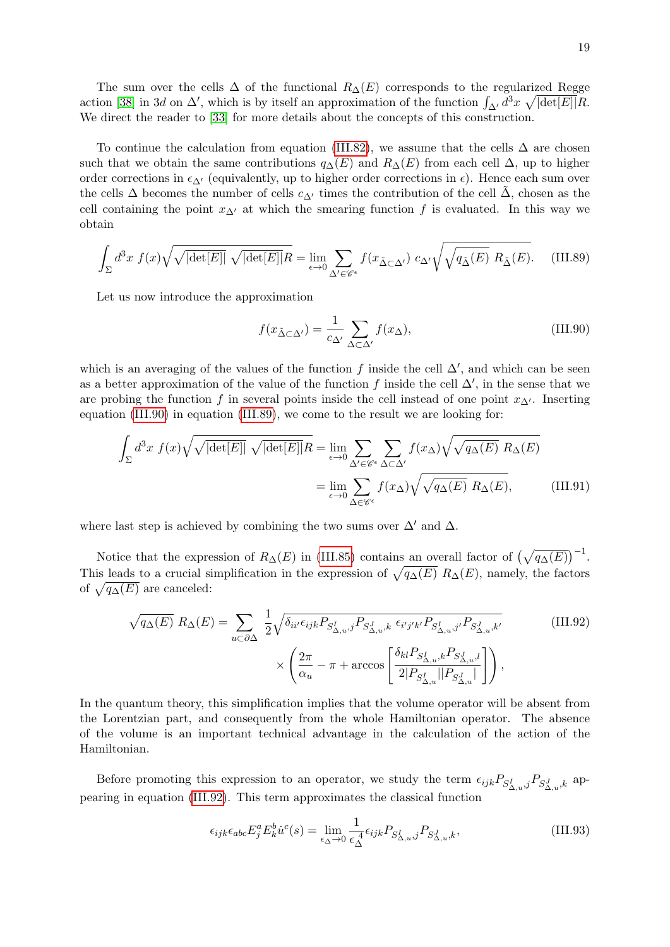The sum over the cells  $\Delta$  of the functional  $R_{\Delta}(E)$  corresponds to the regularized Regge action [\[38\]](#page-30-3) in 3d on  $\Delta'$ , which is by itself an approximation of the function  $\int_{\Delta'} d^3x \sqrt{|\det[E]|} R$ . We direct the reader to [\[33\]](#page-29-16) for more details about the concepts of this construction.

To continue the calculation from equation [\(III.82\)](#page-16-2), we assume that the cells  $\Delta$  are chosen such that we obtain the same contributions  $q_{\Delta}(E)$  and  $R_{\Delta}(E)$  from each cell  $\Delta$ , up to higher order corrections in  $\epsilon_{\Delta}$  (equivalently, up to higher order corrections in  $\epsilon$ ). Hence each sum over the cells  $\Delta$  becomes the number of cells  $c_{\Delta'}$  times the contribution of the cell  $\tilde{\Delta}$ , chosen as the cell containing the point  $x_{\Delta}$  at which the smearing function f is evaluated. In this way we obtain

<span id="page-18-1"></span>
$$
\int_{\Sigma} d^3x \ f(x) \sqrt{\sqrt{|\det[E]|}} \ \sqrt{|\det[E]|} R = \lim_{\epsilon \to 0} \sum_{\Delta' \in \mathscr{C}^{\epsilon}} f(x_{\Delta \subset \Delta'}) \ c_{\Delta'} \sqrt{\sqrt{q_{\tilde{\Delta}}(E)} \ R_{\tilde{\Delta}}(E)}.
$$
 (III.89)

Let us now introduce the approximation

<span id="page-18-0"></span>
$$
f(x_{\tilde{\Delta}\subset\Delta'}) = \frac{1}{c_{\Delta'}} \sum_{\Delta\subset\Delta'} f(x_{\Delta}),
$$
 (III.90)

which is an averaging of the values of the function f inside the cell  $\Delta'$ , and which can be seen as a better approximation of the value of the function f inside the cell  $\Delta'$ , in the sense that we are probing the function f in several points inside the cell instead of one point  $x_{\Delta}$ . Inserting equation [\(III.90\)](#page-18-0) in equation [\(III.89\)](#page-18-1), we come to the result we are looking for:

$$
\int_{\Sigma} d^3x \ f(x) \sqrt{\sqrt{|\det[E]|}} \ \sqrt{|\det[E]|} R = \lim_{\epsilon \to 0} \sum_{\Delta' \in \mathscr{C}^{\epsilon}} \sum_{\Delta \subset \Delta'} f(x_{\Delta}) \sqrt{\sqrt{q_{\Delta}(E)} \ R_{\Delta}(E)}
$$
\n
$$
= \lim_{\epsilon \to 0} \sum_{\Delta \in \mathscr{C}^{\epsilon}} f(x_{\Delta}) \sqrt{\sqrt{q_{\Delta}(E)} \ R_{\Delta}(E)}, \tag{III.91}
$$

where last step is achieved by combining the two sums over  $\Delta'$  and  $\Delta$ .

Notice that the expression of  $R_{\Delta}(E)$  in [\(III.85\)](#page-17-0) contains an overall factor of  $(\sqrt{q_{\Delta}(E)})^{-1}$ . This leads to a crucial simplification in the expression of  $\sqrt{q_{\Delta}(E)} R_{\Delta}(E)$ , namely, the factors of  $\sqrt{q_{\Delta}(E)}$  are canceled:

$$
\sqrt{q_{\Delta}(E)} R_{\Delta}(E) = \sum_{u \subset \partial \Delta} \frac{1}{2} \sqrt{\delta_{ii'} \epsilon_{ijk} P_{S_{\Delta,u}^I, j} P_{S_{\Delta,u}^J, k} \epsilon_{i'j'k'} P_{S_{\Delta,u}^I, j'} P_{S_{\Delta,u}^J, k'}}
$$
(III.92)  

$$
\times \left( \frac{2\pi}{\alpha_u} - \pi + \arccos \left[ \frac{\delta_{kl} P_{S_{\Delta,u}^I, k} P_{S_{\Delta,u}^J, l}}{2|P_{S_{\Delta,u}^I}||P_{S_{\Delta,u}^J}|} \right] \right),
$$

In the quantum theory, this simplification implies that the volume operator will be absent from the Lorentzian part, and consequently from the whole Hamiltonian operator. The absence of the volume is an important technical advantage in the calculation of the action of the Hamiltonian.

Before promoting this expression to an operator, we study the term  $\epsilon_{ijk}P_{S_{\Delta,u}^I,j}P_{S_{\Delta,u}^J,k}$  appearing in equation [\(III.92\)](#page-18-2). This term approximates the classical function

<span id="page-18-2"></span>
$$
\epsilon_{ijk}\epsilon_{abc}E^a_jE^b_k\dot{u}^c(s) = \lim_{\epsilon_{\Delta}\to 0} \frac{1}{\epsilon_{\Delta}^A}\epsilon_{ijk}P_{S_{\Delta,u}^I,j}P_{S_{\Delta,u}^J,k},\tag{III.93}
$$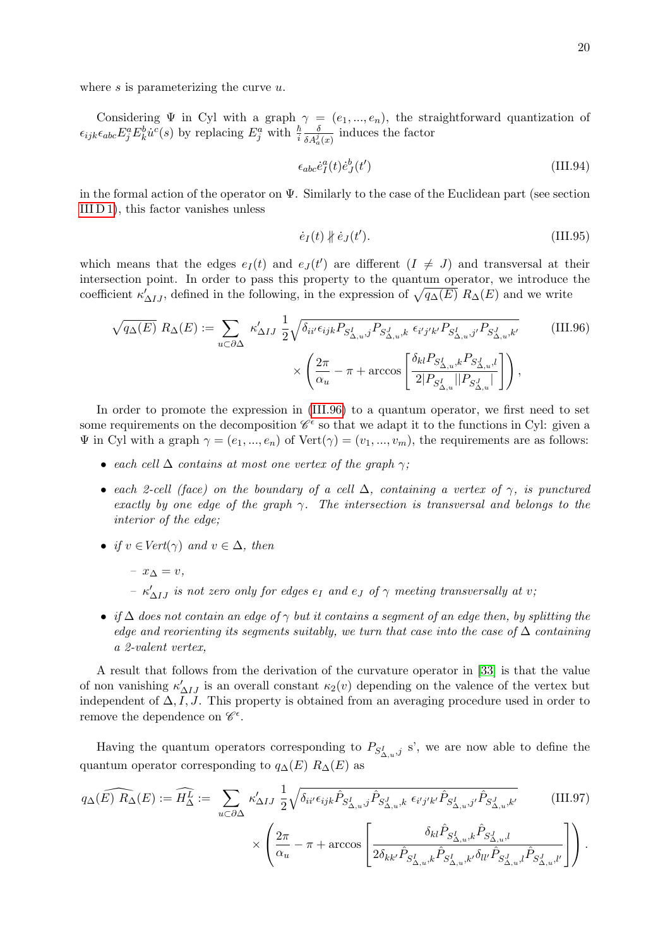where  $s$  is parameterizing the curve  $u$ .

Considering  $\Psi$  in Cyl with a graph  $\gamma = (e_1, ..., e_n)$ , the straightforward quantization of  $\epsilon_{ijk}\epsilon_{abc}E^a_jE^b_k\dot{u}^c(s)$  by replacing  $E^a_j$  with  $\frac{\hbar}{i}$  $\frac{\delta}{\delta A_a^j(x)}$  induces the factor

$$
\epsilon_{abc}\dot{e}_I^a(t)\dot{e}_J^b(t')\tag{III.94}
$$

in the formal action of the operator on  $\Psi$ . Similarly to the case of the Euclidean part (see section [III D 1\)](#page-10-1), this factor vanishes unless

<span id="page-19-0"></span>
$$
\dot{e}_I(t) \nparallel \dot{e}_J(t'). \tag{III.95}
$$

which means that the edges  $e_I(t)$  and  $e_J(t')$  are different  $(I \neq J)$  and transversal at their intersection point. In order to pass this property to the quantum operator, we introduce the coefficient  $\kappa'_{\Delta IJ}$ , defined in the following, in the expression of  $\sqrt{q_{\Delta}(E)} R_{\Delta}(E)$  and we write

$$
\sqrt{q_{\Delta}(E)} R_{\Delta}(E) := \sum_{u \subset \partial \Delta} \kappa'_{\Delta I J} \frac{1}{2} \sqrt{\delta_{ii'} \epsilon_{ijk} P_{S_{\Delta,u}^I, j} P_{S_{\Delta,u}^J, k} \epsilon_{i'j'k'} P_{S_{\Delta,u}^I, j'} P_{S_{\Delta,u}^J, k'}} \qquad (III.96)
$$

$$
\times \left( \frac{2\pi}{\alpha_u} - \pi + \arccos \left[ \frac{\delta_{kl} P_{S_{\Delta,u}^I, k} P_{S_{\Delta,u}^J, l}}{2|P_{S_{\Delta,u}^I}||P_{S_{\Delta,u}^J}|} \right] \right),
$$

In order to promote the expression in [\(III.96\)](#page-19-0) to a quantum operator, we first need to set some requirements on the decomposition  $\mathscr{C}^{\epsilon}$  so that we adapt it to the functions in Cyl: given a  $\Psi$  in Cyl with a graph  $\gamma = (e_1, ..., e_n)$  of  $Vert(\gamma) = (v_1, ..., v_m)$ , the requirements are as follows:

- each cell  $\Delta$  contains at most one vertex of the graph  $\gamma$ ;
- each 2-cell (face) on the boundary of a cell  $\Delta$ , containing a vertex of  $\gamma$ , is punctured exactly by one edge of the graph  $\gamma$ . The intersection is transversal and belongs to the interior of the edge;
- if  $v \in Vert(\gamma)$  and  $v \in \Delta$ , then
	- $x_{\Delta} = v$ ,  $- \kappa'_{\Delta IJ}$  is not zero only for edges  $e_I$  and  $e_J$  of  $\gamma$  meeting transversally at v;
- if  $\Delta$  does not contain an edge of  $\gamma$  but it contains a segment of an edge then, by splitting the edge and reorienting its segments suitably, we turn that case into the case of  $\Delta$  containing a 2-valent vertex,

A result that follows from the derivation of the curvature operator in [\[33\]](#page-29-16) is that the value of non vanishing  $\kappa'_{\Delta IJ}$  is an overall constant  $\kappa_2(v)$  depending on the valence of the vertex but independent of  $\Delta, I, J$ . This property is obtained from an averaging procedure used in order to remove the dependence on  $\mathscr{C}^{\epsilon}$ .

Having the quantum operators corresponding to  $P_{S_{\Delta,u}^I,j}$  s', we are now able to define the quantum operator corresponding to  $q_{\Delta}(E) R_{\Delta}(E)$  as

$$
q_{\Delta}(\widehat{E}) \widehat{R_{\Delta}}(E) := \widehat{H_{\Delta}^{L}} := \sum_{u \subset \partial \Delta} \kappa'_{\Delta I J} \frac{1}{2} \sqrt{\delta_{ii'} \epsilon_{ijk} \hat{P}_{S_{\Delta,u}^{I},j} \hat{P}_{S_{\Delta,u}^{J},k} \epsilon_{i'j'k'} \hat{P}_{S_{\Delta,u}^{I},j'} \hat{P}_{S_{\Delta,u}^{J},k'}} \qquad (III.97)
$$

$$
\times\left(\frac{2\pi}{\alpha_u}-\pi+\arccos\left[\frac{\delta_{kl}\hat{P}_{S_{\Delta,u}^I,k}\hat{P}_{S_{\Delta,u}^J,l}}{2\delta_{kk'}\hat{P}_{S_{\Delta,u}^I,k}\hat{P}_{S_{\Delta,u}^I,k'}\delta_{ll'}\hat{P}_{S_{\Delta,u}^J,l}\hat{P}_{S_{\Delta,u}^J,l'}}\right]\right).
$$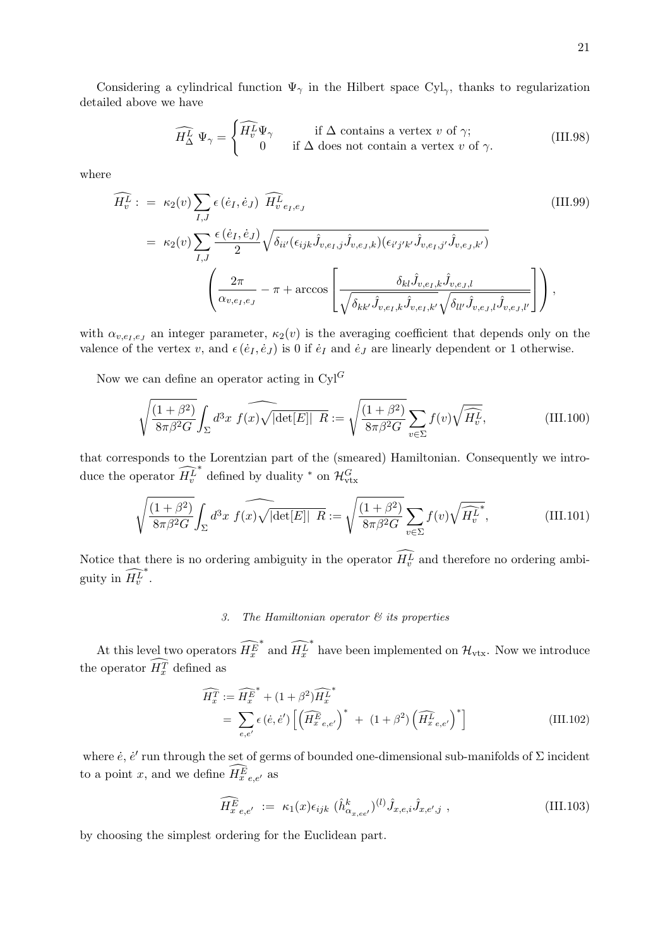Considering a cylindrical function  $\Psi_{\gamma}$  in the Hilbert space Cyl<sub> $_{\gamma}$ </sub>, thanks to regularization detailed above we have

$$
\widehat{H_{\Delta}^{L}} \Psi_{\gamma} = \begin{cases} \widehat{H_{v}^{L}} \Psi_{\gamma} & \text{if } \Delta \text{ contains a vertex } v \text{ of } \gamma; \\ 0 & \text{if } \Delta \text{ does not contain a vertex } v \text{ of } \gamma. \end{cases}
$$
(III.98)

where

$$
\widehat{H_v^L} := \kappa_2(v) \sum_{I,J} \epsilon(\dot{e}_I, \dot{e}_J) \widehat{H_v^L}_{e_I, e_J} \qquad (III.99)
$$
\n
$$
= \kappa_2(v) \sum_{I,J} \frac{\epsilon(\dot{e}_I, \dot{e}_J)}{2} \sqrt{\delta_{ii'}(\epsilon_{ijk}\hat{J}_{v,e_I,j}\hat{J}_{v,e_J,k})(\epsilon_{i'j'k'}\hat{J}_{v,e_I,j'}\hat{J}_{v,e_J,k'})}
$$
\n
$$
\left(\frac{2\pi}{\alpha_{v,e_I,e_J}} - \pi + \arccos\left[\frac{\delta_{kl}\hat{J}_{v,e_I,k}\hat{J}_{v,e_J,l}}{\sqrt{\delta_{kk'}\hat{J}_{v,e_I,k}\hat{J}_{v,e_I,k'}\sqrt{\delta_{ll'}\hat{J}_{v,e_J,l}\hat{J}_{v,e_J,l'}}}\right]\right),
$$
\n(III.99)

with  $\alpha_{v,e_1,e_j}$  an integer parameter,  $\kappa_2(v)$  is the averaging coefficient that depends only on the valence of the vertex v, and  $\epsilon(\dot{e}_I, \dot{e}_J)$  is 0 if  $\dot{e}_I$  and  $\dot{e}_J$  are linearly dependent or 1 otherwise.

Now we can define an operator acting in  $Cyl^G$ 

$$
\sqrt{\frac{(1+\beta^2)}{8\pi\beta^2 G}} \int_{\Sigma} d^3x \ f(x) \sqrt{|\det[E]|} \ \overline{R} := \sqrt{\frac{(1+\beta^2)}{8\pi\beta^2 G}} \sum_{v \in \Sigma} f(v) \sqrt{\widehat{H_v^L}}, \tag{III.100}
$$

that corresponds to the Lorentzian part of the (smeared) Hamiltonian. Consequently we introduce the operator  $H_v^L$ \* defined by duality \* on  $\mathcal{H}_{\text{vtx}}^G$ 

$$
\sqrt{\frac{(1+\beta^2)}{8\pi\beta^2 G}} \int_{\Sigma} d^3x \ f(x) \sqrt{|\det[E]|} \ R := \sqrt{\frac{(1+\beta^2)}{8\pi\beta^2 G}} \sum_{v \in \Sigma} f(v) \sqrt{\widehat{H_v}^k}, \tag{III.101}
$$

Notice that there is no ordering ambiguity in the operator  $H_v^L$  and therefore no ordering ambiguity in  $H_v^L$ ∗ .

## <span id="page-20-0"></span>3. The Hamiltonian operator  $\mathcal{C}'$  its properties

At this level two operators  $H_x^E$ \* and  $\widehat{H^L_x}$  $^{*}$  have been implemented on  $\mathcal{H}_{\mathrm{vtx}}.$  Now we introduce the operator  $H_x^T$  defined as

$$
\widehat{H_x^T} := \widehat{H_x^E}^* + (1 + \beta^2) \widehat{H_x^L}^*
$$
\n
$$
= \sum_{e,e'} \epsilon(\dot{e}, \dot{e}') \left[ \left( \widehat{H_{x}^E}_{e,e'} \right)^* + (1 + \beta^2) \left( \widehat{H_{x}^L}_{e,e'} \right)^* \right]
$$
\n(III.102)

where  $\dot{e}$ ,  $\dot{e}'$  run through the set of germs of bounded one-dimensional sub-manifolds of  $\Sigma$  incident to a point x, and we define  $H_{x,e,e'}^{E}$  as

<span id="page-20-1"></span>
$$
\widehat{H_{x}^{E}}_{e,e'} := \kappa_1(x)\epsilon_{ijk} \, (\hat{h}_{\alpha_{x,ee'}}^k)^{(l)} \hat{J}_{x,e,i} \hat{J}_{x,e',j} \,, \tag{III.103}
$$

by choosing the simplest ordering for the Euclidean part.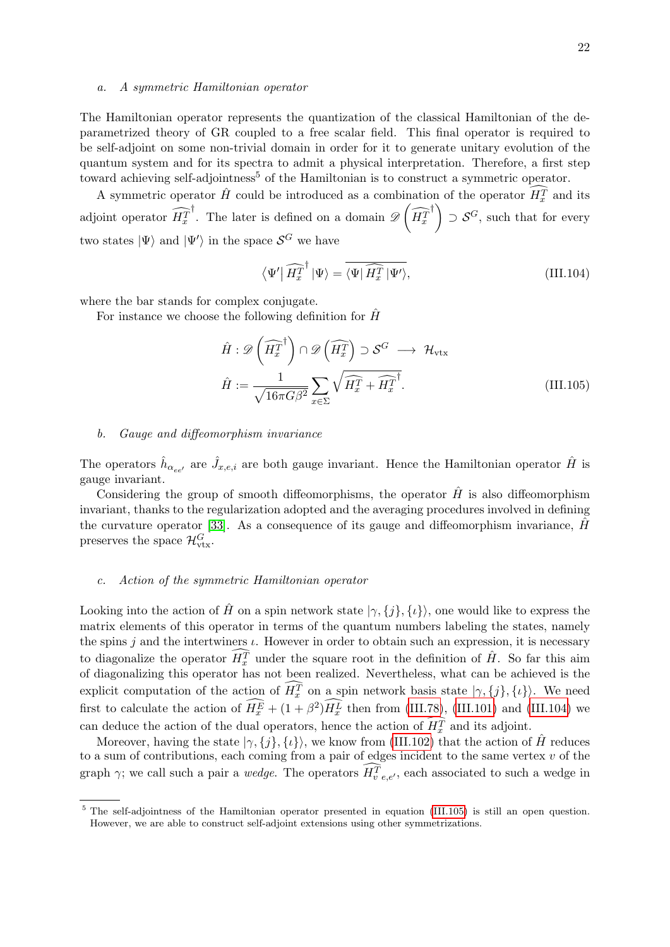#### a. A symmetric Hamiltonian operator

The Hamiltonian operator represents the quantization of the classical Hamiltonian of the deparametrized theory of GR coupled to a free scalar field. This final operator is required to be self-adjoint on some non-trivial domain in order for it to generate unitary evolution of the quantum system and for its spectra to admit a physical interpretation. Therefore, a first step toward achieving self-adjointness<sup>5</sup> of the Hamiltonian is to construct a symmetric operator.

A symmetric operator  $\hat{H}$  could be introduced as a combination of the operator  $\widehat{H}_x^T$  and its adjoint operator  $H_x^T$ <sup>†</sup>. The later is defined on a domain  $\mathscr{D}\left(\widehat{H^T_x}\right)$ <sup>†</sup>  $\supset$   $S^G$ , such that for every two states  $|\Psi\rangle$  and  $|\Psi'\rangle$  in the space  $\mathcal{S}^G$  we have

<span id="page-21-1"></span><span id="page-21-0"></span>
$$
\langle \Psi' | \widehat{H_x^T}^{\dagger} | \Psi \rangle = \overline{\langle \Psi | \widehat{H_x^T} | \Psi' \rangle}, \tag{III.104}
$$

where the bar stands for complex conjugate.

For instance we choose the following definition for  $\hat{H}$ 

$$
\hat{H} : \mathscr{D}\left(\widehat{H_x^T}^{\dagger}\right) \cap \mathscr{D}\left(\widehat{H_x^T}\right) \supset \mathcal{S}^G \longrightarrow \mathcal{H}_{\text{vtx}}
$$
\n
$$
\hat{H} := \frac{1}{\sqrt{16\pi G\beta^2}} \sum_{x \in \Sigma} \sqrt{\widehat{H_x^T} + \widehat{H_x^T}^{\dagger}}.
$$
\n(III.105)

#### b. Gauge and diffeomorphism invariance

The operators  $\hat{h}_{\alpha_{ee'}}$  are  $\hat{J}_{x,e,i}$  are both gauge invariant. Hence the Hamiltonian operator  $\hat{H}$  is gauge invariant.

Considering the group of smooth diffeomorphisms, the operator  $\hat{H}$  is also diffeomorphism invariant, thanks to the regularization adopted and the averaging procedures involved in defining the curvature operator [\[33\]](#page-29-16). As a consequence of its gauge and diffeomorphism invariance,  $\hat{H}$ preserves the space  $\mathcal{H}_{\text{vtx}}^G$ .

#### c. Action of the symmetric Hamiltonian operator

Looking into the action of  $\hat{H}$  on a spin network state  $|\gamma, {\{j\},\{i\}}\rangle$ , one would like to express the matrix elements of this operator in terms of the quantum numbers labeling the states, namely the spins j and the intertwiners  $\iota$ . However in order to obtain such an expression, it is necessary to diagonalize the operator  $\widehat{H}_x^T$  under the square root in the definition of  $\hat{H}$ . So far this aim of diagonalizing this operator has not been realized. Nevertheless, what can be achieved is the explicit computation of the action of  $H_x^T$  on a spin network basis state  $|\gamma, \{j\}, \{\iota\}\rangle$ . We need first to calculate the action of  $H_x^{\vec{E}} + (1 + \beta^2)H_x^{\vec{L}}$  then from [\(III.78\)](#page-15-1), [\(III.101\)](#page-20-0) and [\(III.104\)](#page-21-0) we can deduce the action of the dual operators, hence the action of  $H_x^T$  and its adjoint.

Moreover, having the state  $|\gamma, \{j\}, \{\iota\}\rangle$ , we know from [\(III.102\)](#page-20-1) that the action of H<sup>†</sup> reduces to a sum of contributions, each coming from a pair of edges incident to the same vertex  $v$  of the graph  $\gamma$ ; we call such a pair a *wedge*. The operators  $H_{v, e, e'}^{T}$ , each associated to such a wedge in

<sup>&</sup>lt;sup>5</sup> The self-adjointness of the Hamiltonian operator presented in equation [\(III.105\)](#page-21-1) is still an open question. However, we are able to construct self-adjoint extensions using other symmetrizations.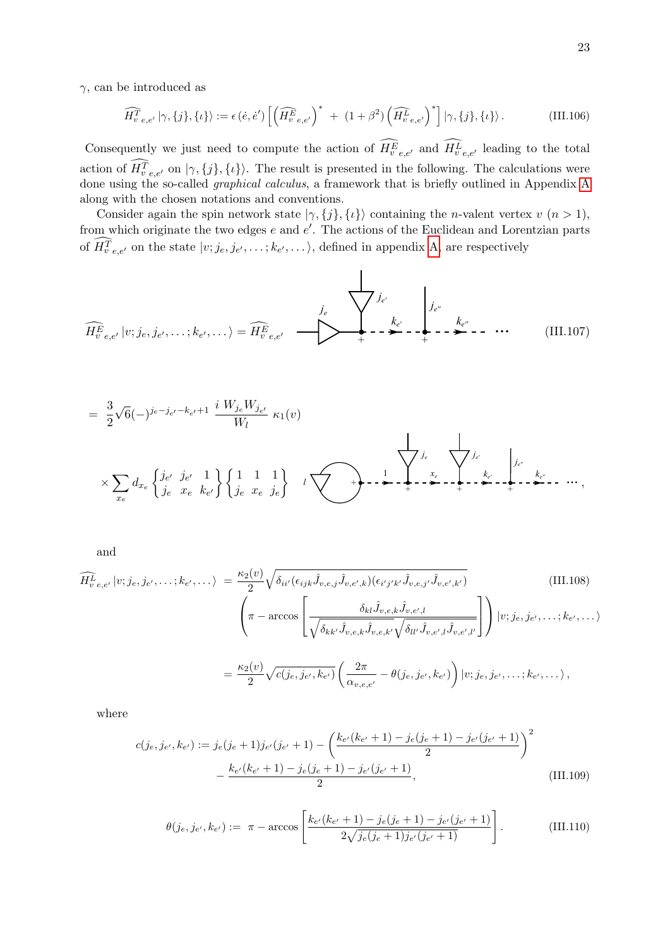$\gamma$ , can be introduced as

$$
\widehat{H_{v}}_{e,e'}^T |\gamma,\{j\},\{\iota\}\rangle := \epsilon(\dot{e},\dot{e}') \left[ \left( \widehat{H_{v}}_{e,e'}^F \right)^* + (1+\beta^2) \left( \widehat{H_{v}}_{e,e'}^T \right)^* \right] |\gamma,\{j\},\{\iota\}\rangle. \tag{III.106}
$$

Consequently we just need to compute the action of  $H_{v, e, e'}^{E}$  and  $H_{v, e, e'}^{L}$  leading to the total action of  $H_{v, e, e'}^{T}$  on  $|\gamma, \{j\}, \{\iota\}\rangle$ . The result is presented in the following. The calculations were done using the so-called graphical calculus, a framework that is briefly outlined in Appendix [A](#page-23-1) along with the chosen notations and conventions.

Consider again the spin network state  $|\gamma, \{j\}, \{\iota\}\rangle$  containing the *n*-valent vertex v  $(n > 1)$ , from which originate the two edges  $e$  and  $e'$ . The actions of the Euclidean and Lorentzian parts of  $H_{v, e, e'}^{T}$  on the state  $|v; j_e, j_{e'}, \dots; k_{e'}, \dots\rangle$ , defined in appendix [A,](#page-23-1) are respectively

<span id="page-22-0"></span>
$$
\widehat{H_{v}^{E}}_{e,e'}\left|v;j_{e},j_{e'},\ldots;k_{e'},\ldots\right\rangle = \widehat{H_{v}^{E}}_{e,e'} \quad \longrightarrow \quad \qquad \sum_{+}^{j_{e}} \sum_{-\infty}^{k_{e'}} -\sum_{+}^{k_{e'}} -\sum_{-\infty}^{k_{e''}} -\cdots \quad \text{(III.107)}
$$

$$
= \frac{3}{2}\sqrt{6}(-)^{j_e-j_{e'}-k_{e'}+1} \frac{i W_{j_e} W_{j_{e'}}}{W_l} \kappa_1(v)
$$
  

$$
\times \sum_{x_e} d_{x_e} \left\{ \frac{j_{e'}}{j_e} \frac{j_{e'}}{x_e} \frac{1}{k_{e'}} \right\} \left\{ \frac{1}{j_e} \frac{1}{x_e} \frac{1}{j_e} \right\} \left[ \frac{1}{j_e} \frac{1}{x_e} \frac{1}{j_e} \right] \left\{ \frac{1}{j_e} \frac{1}{x_e} \frac{1}{j_e} \frac{1}{x_e} \frac{1}{x_e} \frac{1}{x_e} \frac{k_{e'}}{x_e} \frac{k_{e'}}{x_e} \frac{k_{e'}}{x_e} \frac{k_{e'}}{x_e} \frac{k_{e'}}{x_e} \frac{k_{e'}}{x_e} \frac{k_{e'}}{x_e} \frac{k_{e'}}{x_e} \frac{k_{e'}}{x_e} \frac{k_{e'}}{x_e} \frac{k_{e'}}{x_e} \frac{k_{e'}}{x_e} \frac{k_{e'}}{x_e} \frac{k_{e'}}{x_e} \frac{k_{e'}}{x_e} \frac{k_{e'}}{x_e} \frac{k_{e'}}{x_e} \frac{k_{e'}}{x_e} \frac{k_{e'}}{x_e} \frac{k_{e'}}{x_e} \frac{k_{e'}}{x_e} \frac{k_{e'}}{x_e} \frac{k_{e'}}{x_e} \frac{k_{e'}}{x_e} \frac{k_{e'}}{x_e} \frac{k_{e'}}{x_e} \frac{k_{e'}}{x_e} \frac{k_{e'}}{x_e} \frac{k_{e'}}{x_e} \frac{k_{e'}}{x_e} \frac{k_{e'}}{x_e} \frac{k_{e'}}{x_e} \frac{k_{e'}}{x_e} \frac{k_{e'}}{x_e} \frac{k_{e'}}{x_e} \frac{k_{e'}}{x_e} \frac{k_{e'}}{x_e} \frac{k_{e'}}{x_e} \frac{k_{e'}}{x_e} \frac{k_{e'}}{x_e} \frac{k_{e'}}{x_e} \frac{k_{e'}}{x_e} \frac{k_{e'}}{x_e} \frac{k_{e'}}{x_e} \frac{k_{e'}}{x_e} \frac{k_{e'}}{x_e} \frac{k_{e'}}{x_e} \frac{k_{e'}}{x_e} \frac{k_{e'}}{x_e} \frac{k_{e'}}{x_e} \frac{k_{e'}}{x_e} \frac{k_{e'}}{x_e} \frac{k_{e'}}{x_e} \frac{k
$$

and

$$
\widehat{H_{v}}_{e,e'}|v;j_e,j_{e'},\dots;k_{e'},\dots\rangle = \frac{\kappa_2(v)}{2}\sqrt{\delta_{ii'}(\epsilon_{ijk}\hat{J}_{v,e,j}\hat{J}_{v,e',k})(\epsilon_{i'j'k'}\hat{J}_{v,e,j'}\hat{J}_{v,e',k'})}\n\left(\pi - \arccos\left[\frac{\delta_{kl}\hat{J}_{v,e,k}\hat{J}_{v,e',l}}{\sqrt{\delta_{kk'}\hat{J}_{v,e,k}\hat{J}_{v,e,k'}\sqrt{\delta_{ll'}\hat{J}_{v,e',l}\hat{J}_{v,e',l'}}}\right]\right)|v;j_e,j_{e'},\dots;k_{e'},\dots\rangle
$$
\n
$$
= \frac{\kappa_2(v)}{2}\sqrt{c(j_e,j_{e'},k_{e'})}\left(\frac{2\pi}{\alpha_{v,e,e'}}-\theta(j_e,j_{e'},k_{e'})\right)|v;j_e,j_{e'},\dots;k_{e'},\dots\rangle,
$$
\n(III.108)

where

<span id="page-22-1"></span>
$$
c(j_e, j_{e'}, k_{e'}) := j_e(j_e + 1)j_{e'}(j_{e'} + 1) - \left(\frac{k_{e'}(k_{e'} + 1) - j_e(j_e + 1) - j_{e'}(j_{e'} + 1)}{2}\right)^2 - \frac{k_{e'}(k_{e'} + 1) - j_e(j_e + 1) - j_{e'}(j_{e'} + 1)}{2},
$$
(III.109)

$$
\theta(j_e, j_{e'}, k_{e'}) := \pi - \arccos\left[\frac{k_{e'}(k_{e'}+1) - j_e(j_e+1) - j_{e'}(j_{e'}+1)}{2\sqrt{j_e(j_e+1)j_{e'}(j_{e'}+1)}}\right].
$$
\n(III.110)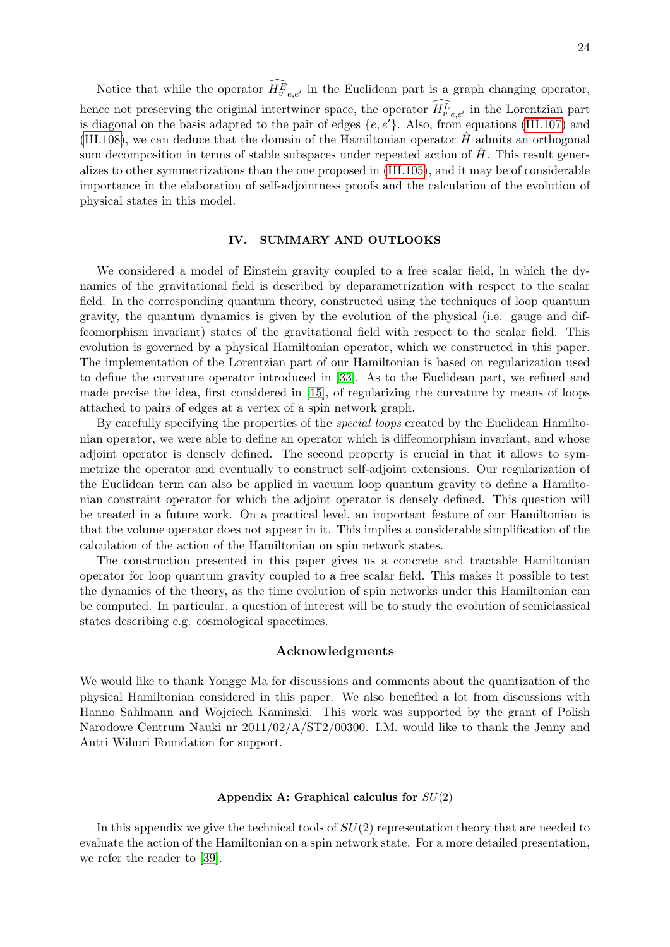Notice that while the operator  $H_{v, e, e'}^{E}$  in the Euclidean part is a graph changing operator, hence not preserving the original intertwiner space, the operator  $H_{v, e, e'}^{L}$  in the Lorentzian part is diagonal on the basis adapted to the pair of edges  $\{e, e'\}$ . Also, from equations [\(III.107\)](#page-22-0) and [\(III.108\)](#page-22-1), we can deduce that the domain of the Hamiltonian operator  $\hat{H}$  admits an orthogonal sum decomposition in terms of stable subspaces under repeated action of  $\hat{H}$ . This result generalizes to other symmetrizations than the one proposed in [\(III.105\)](#page-21-1), and it may be of considerable importance in the elaboration of self-adjointness proofs and the calculation of the evolution of physical states in this model.

## <span id="page-23-0"></span>IV. SUMMARY AND OUTLOOKS

We considered a model of Einstein gravity coupled to a free scalar field, in which the dynamics of the gravitational field is described by deparametrization with respect to the scalar field. In the corresponding quantum theory, constructed using the techniques of loop quantum gravity, the quantum dynamics is given by the evolution of the physical (i.e. gauge and diffeomorphism invariant) states of the gravitational field with respect to the scalar field. This evolution is governed by a physical Hamiltonian operator, which we constructed in this paper. The implementation of the Lorentzian part of our Hamiltonian is based on regularization used to define the curvature operator introduced in [\[33\]](#page-29-16). As to the Euclidean part, we refined and made precise the idea, first considered in [\[15\]](#page-29-20), of regularizing the curvature by means of loops attached to pairs of edges at a vertex of a spin network graph.

By carefully specifying the properties of the *special loops* created by the Euclidean Hamiltonian operator, we were able to define an operator which is diffeomorphism invariant, and whose adjoint operator is densely defined. The second property is crucial in that it allows to symmetrize the operator and eventually to construct self-adjoint extensions. Our regularization of the Euclidean term can also be applied in vacuum loop quantum gravity to define a Hamiltonian constraint operator for which the adjoint operator is densely defined. This question will be treated in a future work. On a practical level, an important feature of our Hamiltonian is that the volume operator does not appear in it. This implies a considerable simplification of the calculation of the action of the Hamiltonian on spin network states.

The construction presented in this paper gives us a concrete and tractable Hamiltonian operator for loop quantum gravity coupled to a free scalar field. This makes it possible to test the dynamics of the theory, as the time evolution of spin networks under this Hamiltonian can be computed. In particular, a question of interest will be to study the evolution of semiclassical states describing e.g. cosmological spacetimes.

#### Acknowledgments

We would like to thank Yongge Ma for discussions and comments about the quantization of the physical Hamiltonian considered in this paper. We also benefited a lot from discussions with Hanno Sahlmann and Wojciech Kaminski. This work was supported by the grant of Polish Narodowe Centrum Nauki nr 2011/02/A/ST2/00300. I.M. would like to thank the Jenny and Antti Wihuri Foundation for support.

## <span id="page-23-1"></span>Appendix A: Graphical calculus for  $SU(2)$

In this appendix we give the technical tools of  $SU(2)$  representation theory that are needed to evaluate the action of the Hamiltonian on a spin network state. For a more detailed presentation, we refer the reader to [\[39\]](#page-30-4).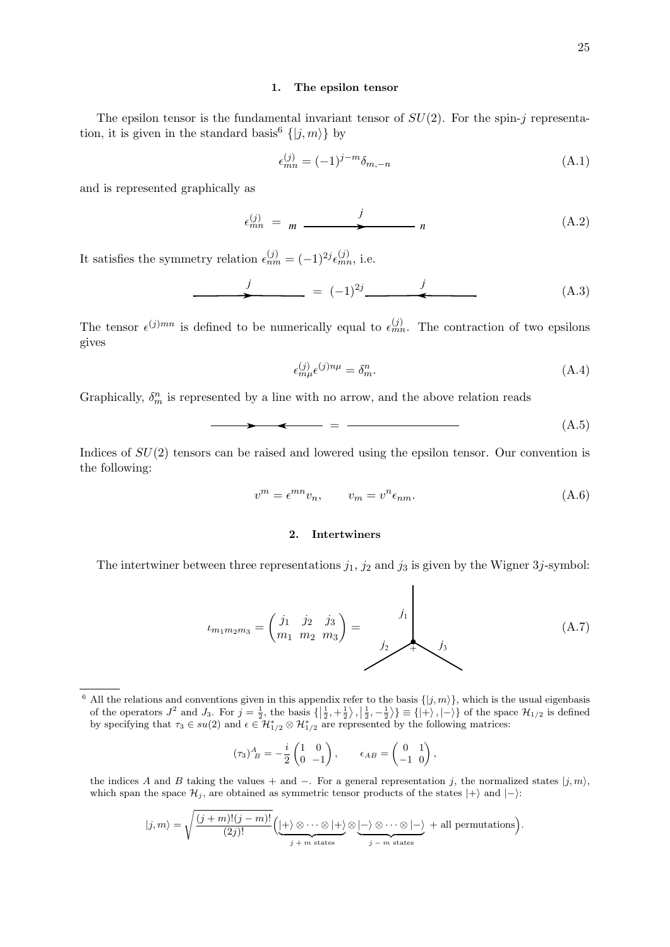#### 1. The epsilon tensor

The epsilon tensor is the fundamental invariant tensor of  $SU(2)$ . For the spin-j representation, it is given in the standard basis<sup>6</sup>  $\{|j,m\rangle\}$  by

$$
\epsilon_{mn}^{(j)} = (-1)^{j-m} \delta_{m,-n} \tag{A.1}
$$

and is represented graphically as

$$
\epsilon_{mn}^{(j)} = m \xrightarrow{j} n \tag{A.2}
$$

It satisfies the symmetry relation  $\epsilon_{nm}^{(j)} = (-1)^{2j} \epsilon_{mn}^{(j)}$ , i.e.

$$
\qquad \qquad j \qquad = (-1)^{2j} \qquad \qquad j \qquad (A.3)
$$

The tensor  $\epsilon^{(j)mn}$  is defined to be numerically equal to  $\epsilon_{mn}^{(j)}$ . The contraction of two epsilons gives

$$
\epsilon_{m\mu}^{(j)}\epsilon^{(j)n\mu} = \delta_m^n. \tag{A.4}
$$

Graphically,  $\delta_m^n$  is represented by a line with no arrow, and the above relation reads

$$
\longrightarrow
$$
 (A.5)

Indices of  $SU(2)$  tensors can be raised and lowered using the epsilon tensor. Our convention is the following:

$$
v^m = \epsilon^{mn} v_n, \qquad v_m = v^n \epsilon_{nm}.
$$
\n(A.6)

## 2. Intertwiners

The intertwiner between three representations  $j_1$ ,  $j_2$  and  $j_3$  is given by the Wigner 3j-symbol:

<span id="page-24-0"></span>
$$
t_{m_1m_2m_3} = \begin{pmatrix} j_1 & j_2 & j_3 \ m_1 & m_2 & m_3 \end{pmatrix} = \begin{pmatrix} j_1 \\ j_2 \\ j_3 \end{pmatrix}
$$
 (A.7)

$$
(\tau_3)^A_{\ B} = -\frac{i}{2} \begin{pmatrix} 1 & 0 \\ 0 & -1 \end{pmatrix}, \qquad \epsilon_{AB} = \begin{pmatrix} 0 & 1 \\ -1 & 0 \end{pmatrix},
$$

the indices A and B taking the values + and −. For a general representation j, the normalized states  $|j, m\rangle$ , which span the space  $\mathcal{H}_j$ , are obtained as symmetric tensor products of the states  $|+\rangle$  and  $|-\rangle$ :

$$
|j,m\rangle = \sqrt{\frac{(j+m)!(j-m)!}{(2j)!}} \left( \underbrace{|+\rangle \otimes \cdots \otimes |+\rangle}_{j+m \text{ states}} \otimes \underbrace{|-\rangle \otimes \cdots \otimes |-\rangle}_{j-m \text{ states}} + \text{all permutations} \right).
$$

<sup>&</sup>lt;sup>6</sup> All the relations and conventions given in this appendix refer to the basis  $\{|j, m\rangle\}$ , which is the usual eigenbasis of the operators  $J^2$  and  $J_3$ . For  $j = \frac{1}{2}$ , the basis  $\{\left|\frac{1}{2}, +\frac{1}{2}\right\rangle, \left|\frac{1}{2}, -\frac{1}{2}\right\rangle\} \equiv \{\left|\left|\left|\right\rangle\right\rangle, \left|\left|\left|\right\rangle\right\}\right\rangle\}$  of the space  $\mathcal{H}_{1/2}$  is defined by specifying that  $\tau_3 \in su(2)$  and  $\epsilon \in \mathcal{H}_{1/2}^* \otimes \mathcal{H}_{1/2}^*$  are represented by the following matrices: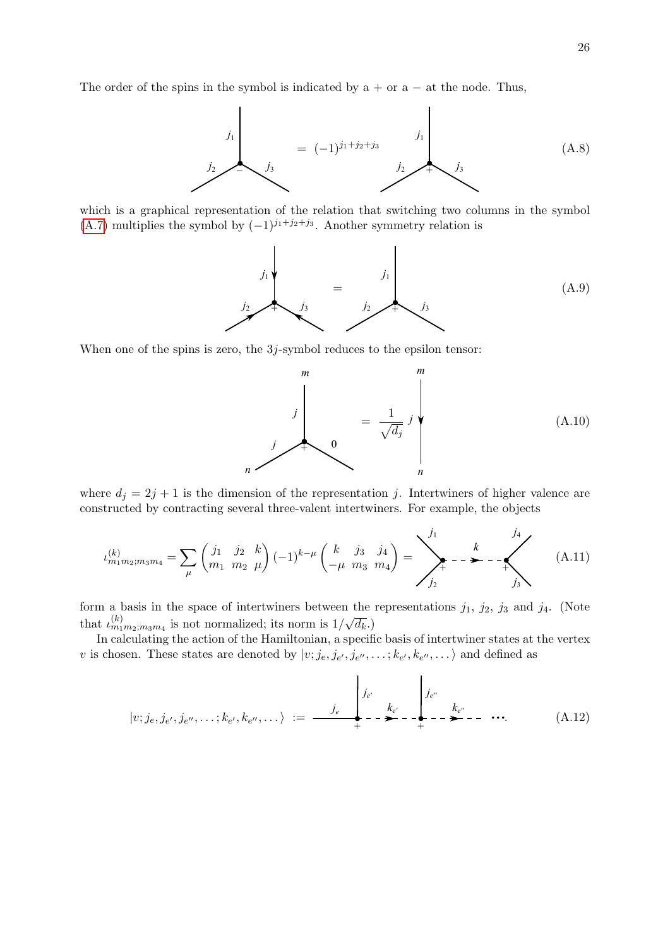The order of the spins in the symbol is indicated by  $a + or a - at$  the node. Thus,



which is a graphical representation of the relation that switching two columns in the symbol [\(A.7\)](#page-24-0) multiplies the symbol by  $(-1)^{j_1+j_2+j_3}$ . Another symmetry relation is



When one of the spins is zero, the 3j-symbol reduces to the epsilon tensor:



where  $d_j = 2j + 1$  is the dimension of the representation j. Intertwiners of higher valence are constructed by contracting several three-valent intertwiners. For example, the objects

<span id="page-25-0"></span>
$$
\iota_{m_1 m_2; m_3 m_4}^{(k)} = \sum_{\mu} \begin{pmatrix} j_1 & j_2 & k \\ m_1 & m_2 & \mu \end{pmatrix} (-1)^{k-\mu} \begin{pmatrix} k & j_3 & j_4 \\ -\mu & m_3 & m_4 \end{pmatrix} = \sum_{j_2}^{j_1} \mathbf{I} - \mathbf{I} - \mathbf{I} - \mathbf{I}
$$
 (A.11)

form a basis in the space of intertwiners between the representations  $j_1$ ,  $j_2$ ,  $j_3$  and  $j_4$ . (Note that  $\iota_{m_1m_2;m_3m_4}^{(k)}$  is not normalized; its norm is 1/ √  $\overline{d_k}.$ 

In calculating the action of the Hamiltonian, a specific basis of intertwiner states at the vertex v is chosen. These states are denoted by  $|v; j_e, j_{e'}, j_{e''}, \dots; k_{e'}, k_{e''}, \dots \rangle$  and defined as

$$
|v; j_e, j_{e'}, j_{e''}, \dots; k_{e'}, k_{e''}, \dots \rangle := \frac{j_e}{\left| \begin{array}{ccc} j_{e'} & & j_{e''} \\ & k_{e'} & & k_{e''} \\ + & - \sum_{i=1}^{e} - \sum_{i=1}^{e} - \cdots \end{array} \right|} \tag{A.12}
$$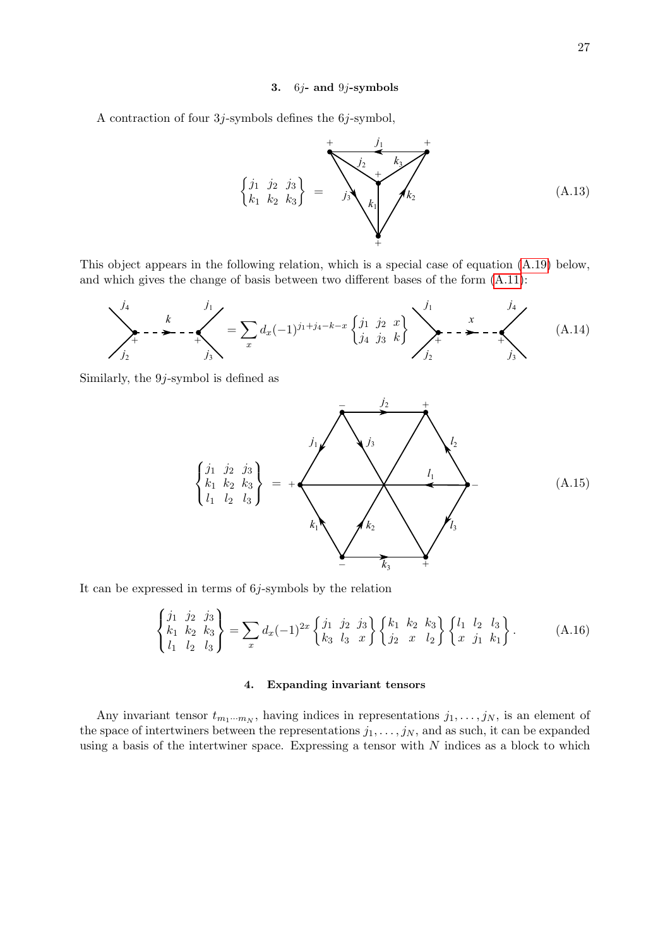#### 3. 6j- and 9j-symbols

A contraction of four  $3j$ -symbols defines the  $6j$ -symbol,

$$
\begin{cases}\nj_1 & j_2 & j_3 \\
k_1 & k_2 & k_3\n\end{cases} = \sum_{j_3}^{+\frac{j_1}{k_2}} \sum_{k_1}^{k_3} k_2
$$
\n(A.13)

This object appears in the following relation, which is a special case of equation [\(A.19\)](#page-27-0) below, and which gives the change of basis between two different bases of the form [\(A.11\)](#page-25-0):

$$
\sum_{j_2}^{j_4} \cdots \sum_{j_3}^{k} = \sum_{x} d_x (-1)^{j_1+j_4-k-x} \begin{Bmatrix} j_1 & j_2 & x \\ j_4 & j_3 & k \end{Bmatrix} \sum_{j_2}^{j_1} \cdots \sum_{j_3}^{j_4} \cdots \sum_{j_3}^{j_4} \cdots \sum_{j_3}^{j_4} \qquad (A.14)
$$

Similarly, the 9j-symbol is defined as

$$
\begin{Bmatrix}\nj_1 & j_2 & j_3 \\
k_1 & k_2 & k_3 \\
l_1 & l_2 & l_3\n\end{Bmatrix} = + \sqrt{\frac{j_1 + \frac{j_2 + \frac{j_3}{2}}{j_3 + \frac{j_4}{2}}}} \sqrt{\frac{l_1 + \frac{j_2}{2}}{l_1 + \frac{j_3}{2}}}
$$
\n(A.15)

It can be expressed in terms of  $6j$ -symbols by the relation

$$
\begin{Bmatrix} j_1 & j_2 & j_3 \ k_1 & k_2 & k_3 \ l_1 & l_2 & l_3 \end{Bmatrix} = \sum_x d_x (-1)^{2x} \begin{Bmatrix} j_1 & j_2 & j_3 \ k_3 & l_3 & x \end{Bmatrix} \begin{Bmatrix} k_1 & k_2 & k_3 \ j_2 & x & l_2 \end{Bmatrix} \begin{Bmatrix} l_1 & l_2 & l_3 \ x & j_1 & k_1 \end{Bmatrix}.
$$
 (A.16)

#### 4. Expanding invariant tensors

Any invariant tensor  $t_{m_1\cdots m_N}$ , having indices in representations  $j_1, \ldots, j_N$ , is an element of the space of intertwiners between the representations  $j_1, \ldots, j_N$ , and as such, it can be expanded using a basis of the intertwiner space. Expressing a tensor with  $N$  indices as a block to which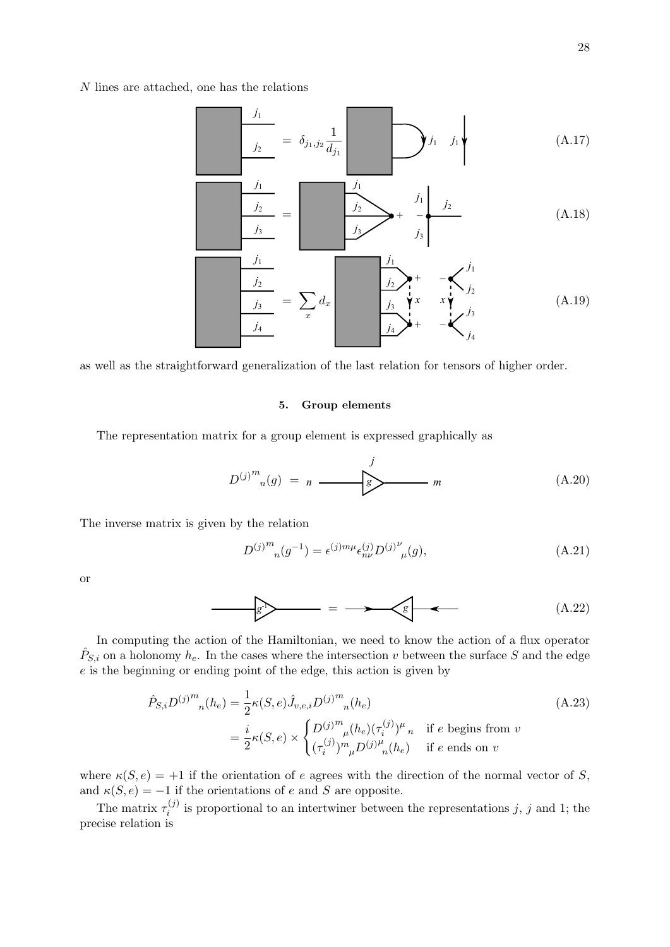N lines are attached, one has the relations

$$
j_1 = \delta_{j_1, j_2} \frac{1}{d_{j_1}} \longrightarrow j_1 \qquad (A.17)
$$

$$
\frac{j_1}{j_2}
$$
\n
$$
= \frac{j_1}{j_3} + \frac{j_1}{j_3} + \frac{j_2}{j_3}
$$
\n(A.18)

$$
\frac{j_1}{j_2}}{j_3} = \sum_x d_x \frac{j_1}{j_3} + \frac{-\sum_{j_2}{j_2}}{j_2}
$$
\n(A.19)

as well as the straightforward generalization of the last relation for tensors of higher order.

### <span id="page-27-0"></span>5. Group elements

The representation matrix for a group element is expressed graphically as

$$
D^{(j)^m}{}_n(g) = n \longrightarrow g
$$
\n(A.20)

The inverse matrix is given by the relation

<span id="page-27-1"></span>
$$
D^{(j)}^{m}{}_{n}(g^{-1}) = \epsilon^{(j)m\mu} \epsilon^{(j)}_{n\nu} D^{(j)}{}^{\nu}{}_{\mu}(g), \tag{A.21}
$$

or

$$
\mathcal{L} = \longrightarrow \mathcal{L} \tag{A.22}
$$

In computing the action of the Hamiltonian, we need to know the action of a flux operator  $\hat{P}_{S,i}$  on a holonomy  $h_e$ . In the cases where the intersection v between the surface S and the edge e is the beginning or ending point of the edge, this action is given by

$$
\hat{P}_{S,i}D^{(j)}^{m}{}_{n}(h_{e}) = \frac{1}{2}\kappa(S,e)\hat{J}_{v,e,i}D^{(j)}^{m}{}_{n}(h_{e})
$$
\n
$$
= \frac{i}{2}\kappa(S,e) \times \begin{cases}\nD^{(j)}^{m}{}_{\mu}(h_{e})(\tau_{i}^{(j)})^{\mu}{}_{n} & \text{if } e \text{ begins from } v \\
(\tau_{i}^{(j)})^{m}{}_{\mu}D^{(j)}^{u}{}_{n}(h_{e}) & \text{if } e \text{ ends on } v\n\end{cases}
$$
\n(A.23)

where  $\kappa(S, e) = +1$  if the orientation of e agrees with the direction of the normal vector of S, and  $\kappa(S, e) = -1$  if the orientations of e and S are opposite.

The matrix  $\tau_i^{(j)}$  $i^{(j)}$  is proportional to an intertwiner between the representations j, j and 1; the precise relation is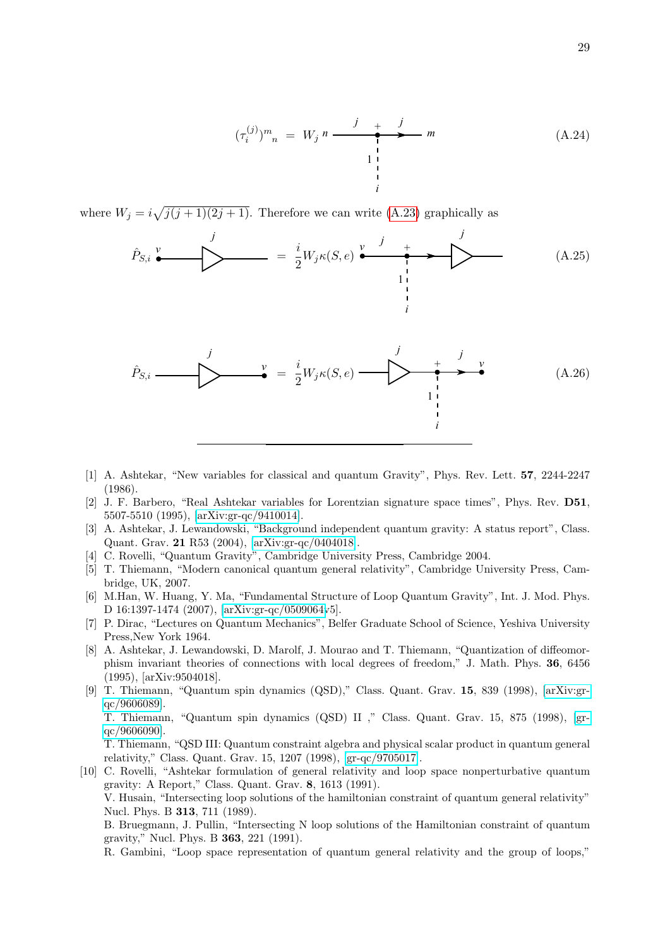$$
(\tau_i^{(j)})^m{}_n = W_j n \xrightarrow{j} \qquad m
$$
\n
$$
\downarrow \qquad m
$$
\n
$$
\downarrow \qquad (A.24)
$$

where  $W_j = i\sqrt{j(j+1)(2j+1)}$ . Therefore we can write [\(A.23\)](#page-27-1) graphically as

$$
\hat{P}_{S,i} \stackrel{\mathcal{V}}{\bullet} \qquad \qquad \longrightarrow \qquad \qquad \frac{i}{2} W_j \kappa(S,e) \stackrel{\mathcal{V}}{\bullet} \stackrel{j}{\bullet} \qquad \qquad \frac{j}{\downarrow}
$$
\n(A.25)

i

$$
\hat{P}_{S,i} \longrightarrow \qquad \qquad \downarrow \qquad \qquad \downarrow \qquad \qquad \downarrow \qquad \qquad \downarrow \qquad \qquad \downarrow \qquad \qquad \downarrow \qquad \qquad \downarrow \qquad \qquad \downarrow \qquad \qquad \downarrow
$$
\n
$$
\hat{P}_{S,i} \longrightarrow \qquad \qquad \downarrow \qquad \qquad \downarrow \qquad \qquad \downarrow
$$
\n
$$
\downarrow \qquad \qquad \downarrow \qquad \qquad \downarrow
$$
\n
$$
\downarrow \qquad \qquad \downarrow
$$
\n
$$
\downarrow \qquad \qquad \downarrow
$$
\n
$$
\downarrow \qquad \qquad \downarrow
$$
\n
$$
\downarrow \qquad \qquad \downarrow
$$
\n
$$
\downarrow \qquad \qquad \downarrow
$$
\n
$$
\downarrow \qquad \qquad \downarrow
$$
\n
$$
\downarrow \qquad \qquad \downarrow
$$
\n
$$
\downarrow \qquad \qquad \downarrow
$$
\n
$$
\downarrow \qquad \qquad \downarrow
$$
\n
$$
\downarrow \qquad \qquad \downarrow
$$
\n
$$
\downarrow \qquad \qquad \downarrow
$$
\n
$$
\downarrow \qquad \qquad \downarrow
$$
\n
$$
\downarrow \qquad \qquad \downarrow
$$
\n
$$
\downarrow \qquad \qquad \downarrow
$$
\n
$$
\downarrow \qquad \qquad \downarrow
$$
\n
$$
\downarrow \qquad \qquad \downarrow
$$
\n
$$
\downarrow \qquad \qquad \downarrow
$$
\n
$$
\downarrow \qquad \qquad \downarrow
$$
\n
$$
\downarrow \qquad \qquad \downarrow
$$
\n
$$
\downarrow \qquad \qquad \downarrow
$$
\n
$$
\downarrow \qquad \qquad \downarrow
$$
\n
$$
\downarrow \qquad \qquad \downarrow
$$
\n
$$
\downarrow \qquad \qquad \downarrow
$$
\n
$$
\downarrow \qquad \qquad \downarrow
$$
\n
$$
\downarrow \qquad \qquad \downarrow
$$
\n
$$
\downarrow \qquad \qquad \downarrow
$$
\n
$$
\downarrow \qquad \qquad \downarrow
$$
\n
$$
\downarrow \qquad \qquad \downarrow
$$
\n<

- <span id="page-28-0"></span>[1] A. Ashtekar, "New variables for classical and quantum Gravity", Phys. Rev. Lett. 57, 2244-2247 (1986).
- <span id="page-28-1"></span>[2] J. F. Barbero, "Real Ashtekar variables for Lorentzian signature space times", Phys. Rev. D51, 5507-5510 (1995), [\[arXiv:gr-qc/9410014\]](http://arxiv.org/abs/gr-qc/9410014).
- <span id="page-28-2"></span>[3] A. Ashtekar, J. Lewandowski, "Background independent quantum gravity: A status report", Class. Quant. Grav. 21 R53 (2004), [\[arXiv:gr-qc/0404018\]](http://arxiv.org/abs/gr-qc/0404018).
- [4] C. Rovelli, "Quantum Gravity", Cambridge University Press, Cambridge 2004.
- [5] T. Thiemann, "Modern canonical quantum general relativity", Cambridge University Press, Cambridge, UK, 2007.
- <span id="page-28-3"></span>[6] M.Han, W. Huang, Y. Ma, "Fundamental Structure of Loop Quantum Gravity", Int. J. Mod. Phys. D 16:1397-1474 (2007), [\[arXiv:gr-qc/0509064v](http://arxiv.org/abs/gr-qc/0509064)5].
- <span id="page-28-4"></span>[7] P. Dirac, "Lectures on Quantum Mechanics", Belfer Graduate School of Science, Yeshiva University Press,New York 1964.
- <span id="page-28-5"></span>[8] A. Ashtekar, J. Lewandowski, D. Marolf, J. Mourao and T. Thiemann, "Quantization of diffeomorphism invariant theories of connections with local degrees of freedom," J. Math. Phys. 36, 6456 (1995), [arXiv:9504018].
- <span id="page-28-6"></span>[9] T. Thiemann, "Quantum spin dynamics (QSD)," Class. Quant. Grav. 15, 839 (1998), [\[arXiv:gr](http://arxiv.org/abs/gr-qc/9606089)[qc/9606089\]](http://arxiv.org/abs/gr-qc/9606089).

T. Thiemann, "Quantum spin dynamics (QSD) II ," Class. Quant. Grav. 15, 875 (1998), [\[gr](http://arxiv.org/abs/gr-qc/9606090)[qc/9606090\]](http://arxiv.org/abs/gr-qc/9606090).

T. Thiemann, "QSD III: Quantum constraint algebra and physical scalar product in quantum general relativity," Class. Quant. Grav. 15, 1207 (1998), [\[gr-qc/9705017\]](http://arxiv.org/abs/gr-qc/9705017).

<span id="page-28-7"></span>[10] C. Rovelli, "Ashtekar formulation of general relativity and loop space nonperturbative quantum gravity: A Report," Class. Quant. Grav. 8, 1613 (1991). V. Husain, "Intersecting loop solutions of the hamiltonian constraint of quantum general relativity" Nucl. Phys. B 313, 711 (1989).

B. Bruegmann, J. Pullin, "Intersecting N loop solutions of the Hamiltonian constraint of quantum gravity," Nucl. Phys. B 363, 221 (1991).

R. Gambini, "Loop space representation of quantum general relativity and the group of loops,"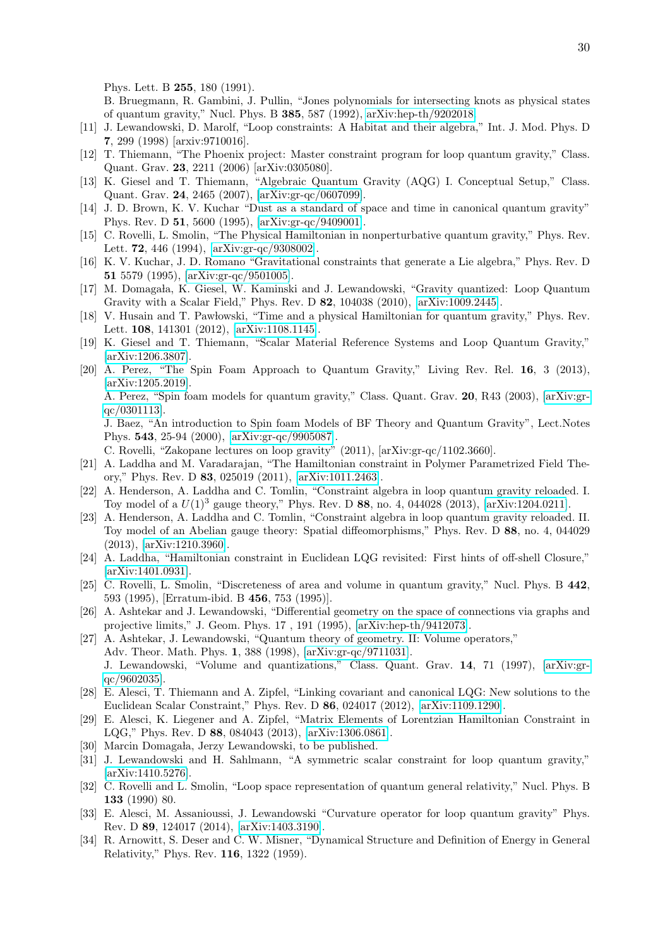Phys. Lett. B 255, 180 (1991).

B. Bruegmann, R. Gambini, J. Pullin, "Jones polynomials for intersecting knots as physical states of quantum gravity," Nucl. Phys. B 385, 587 (1992), [arXiv:hep-th/9202018.](http://arxiv.org/abs/hep-th/9202018)

- <span id="page-29-0"></span>[11] J. Lewandowski, D. Marolf, "Loop constraints: A Habitat and their algebra," Int. J. Mod. Phys. D 7, 299 (1998) [arxiv:9710016].
- <span id="page-29-1"></span>[12] T. Thiemann, "The Phoenix project: Master constraint program for loop quantum gravity," Class. Quant. Grav. 23, 2211 (2006) [arXiv:0305080].
- <span id="page-29-2"></span>[13] K. Giesel and T. Thiemann, "Algebraic Quantum Gravity (AQG) I. Conceptual Setup," Class. Quant. Grav. 24, 2465 (2007), [\[arXiv:gr-qc/0607099\]](http://arxiv.org/abs/gr-qc/0607099).
- <span id="page-29-3"></span>[14] J. D. Brown, K. V. Kuchar "Dust as a standard of space and time in canonical quantum gravity" Phys. Rev. D 51, 5600 (1995), [\[arXiv:gr-qc/9409001\]](http://arxiv.org/abs/gr-qc/9409001).
- <span id="page-29-20"></span>[15] C. Rovelli, L. Smolin, "The Physical Hamiltonian in nonperturbative quantum gravity," Phys. Rev. Lett. 72, 446 (1994), [\[arXiv:gr-qc/9308002\]](http://arxiv.org/abs/gr-qc/9308002).
- <span id="page-29-18"></span>[16] K. V. Kuchar, J. D. Romano "Gravitational constraints that generate a Lie algebra," Phys. Rev. D 51 5579 (1995), [\[arXiv:gr-qc/9501005\]](http://arxiv.org/abs/gr-qc/9501005).
- <span id="page-29-13"></span>[17] M. Domagała, K. Giesel, W. Kaminski and J. Lewandowski, "Gravity quantized: Loop Quantum Gravity with a Scalar Field," Phys. Rev. D 82, 104038 (2010), [\[arXiv:1009.2445\]](http://arxiv.org/abs/1009.2445).
- [18] V. Husain and T. Pawlowski, "Time and a physical Hamiltonian for quantum gravity," Phys. Rev. Lett. 108, 141301 (2012), [\[arXiv:1108.1145\]](http://arxiv.org/abs/1108.1145).
- <span id="page-29-4"></span>[19] K. Giesel and T. Thiemann, "Scalar Material Reference Systems and Loop Quantum Gravity," [\[arXiv:1206.3807\]](http://arxiv.org/abs/1206.3807).
- <span id="page-29-5"></span>[20] A. Perez, "The Spin Foam Approach to Quantum Gravity," Living Rev. Rel. 16, 3 (2013), [\[arXiv:1205.2019\]](http://arxiv.org/abs/1205.2019).

A. Perez, "Spin foam models for quantum gravity," Class. Quant. Grav. 20, R43 (2003), [\[arXiv:gr](http://arxiv.org/abs/gr-qc/0301113)[qc/0301113\]](http://arxiv.org/abs/gr-qc/0301113).

J. Baez, "An introduction to Spin foam Models of BF Theory and Quantum Gravity", Lect.Notes Phys. 543, 25-94 (2000), [\[arXiv:gr-qc/9905087\]](http://arxiv.org/abs/gr-qc/9905087).

C. Rovelli, "Zakopane lectures on loop gravity" (2011), [arXiv:gr-qc/1102.3660].

- <span id="page-29-6"></span>[21] A. Laddha and M. Varadarajan, "The Hamiltonian constraint in Polymer Parametrized Field Theory," Phys. Rev. D 83, 025019 (2011), [\[arXiv:1011.2463\]](http://arxiv.org/abs/1011.2463).
- [22] A. Henderson, A. Laddha and C. Tomlin, "Constraint algebra in loop quantum gravity reloaded. I. Toy model of a  $U(1)^3$  gauge theory," Phys. Rev. D 88, no. 4, 044028 (2013), [\[arXiv:1204.0211\]](http://arxiv.org/abs/1204.0211).
- [23] A. Henderson, A. Laddha and C. Tomlin, "Constraint algebra in loop quantum gravity reloaded. II. Toy model of an Abelian gauge theory: Spatial diffeomorphisms," Phys. Rev. D 88, no. 4, 044029 (2013), [\[arXiv:1210.3960\]](http://arxiv.org/abs/1210.3960).
- <span id="page-29-7"></span>[24] A. Laddha, "Hamiltonian constraint in Euclidean LQG revisited: First hints of off-shell Closure," [\[arXiv:1401.0931\]](http://arxiv.org/abs/1401.0931).
- <span id="page-29-8"></span>[25] C. Rovelli, L. Smolin, "Discreteness of area and volume in quantum gravity," Nucl. Phys. B 442, 593 (1995), [Erratum-ibid. B 456, 753 (1995)].
- <span id="page-29-19"></span>[26] A. Ashtekar and J. Lewandowski, "Differential geometry on the space of connections via graphs and projective limits," J. Geom. Phys. 17 , 191 (1995), [\[arXiv:hep-th/9412073\]](http://arxiv.org/abs/hep-th/9412073).
- <span id="page-29-9"></span>[27] A. Ashtekar, J. Lewandowski, "Quantum theory of geometry. II: Volume operators," Adv. Theor. Math. Phys. 1, 388 (1998), [\[arXiv:gr-qc/9711031\]](http://arxiv.org/abs/gr-qc/9711031). J. Lewandowski, "Volume and quantizations," Class. Quant. Grav. 14, 71 (1997), [\[arXiv:gr](http://arxiv.org/abs/gr-qc/9602035)[qc/9602035\]](http://arxiv.org/abs/gr-qc/9602035).
- <span id="page-29-10"></span>[28] E. Alesci, T. Thiemann and A. Zipfel, "Linking covariant and canonical LQG: New solutions to the Euclidean Scalar Constraint," Phys. Rev. D 86, 024017 (2012), [\[arXiv:1109.1290\]](http://arxiv.org/abs/1109.1290).
- <span id="page-29-11"></span>[29] E. Alesci, K. Liegener and A. Zipfel, "Matrix Elements of Lorentzian Hamiltonian Constraint in LQG," Phys. Rev. D 88, 084043 (2013), [\[arXiv:1306.0861\]](http://arxiv.org/abs/1306.0861).
- <span id="page-29-12"></span>[30] Marcin Domagała, Jerzy Lewandowski, to be published.
- <span id="page-29-14"></span>[31] J. Lewandowski and H. Sahlmann, "A symmetric scalar constraint for loop quantum gravity," [\[arXiv:1410.5276\]](http://arxiv.org/abs/1410.5276).
- <span id="page-29-15"></span>[32] C. Rovelli and L. Smolin, "Loop space representation of quantum general relativity," Nucl. Phys. B 133 (1990) 80.
- <span id="page-29-16"></span>[33] E. Alesci, M. Assanioussi, J. Lewandowski "Curvature operator for loop quantum gravity" Phys. Rev. D 89, 124017 (2014), [\[arXiv:1403.3190\]](http://arxiv.org/abs/1403.3190).
- <span id="page-29-17"></span>[34] R. Arnowitt, S. Deser and C. W. Misner, "Dynamical Structure and Definition of Energy in General Relativity," Phys. Rev. 116, 1322 (1959).